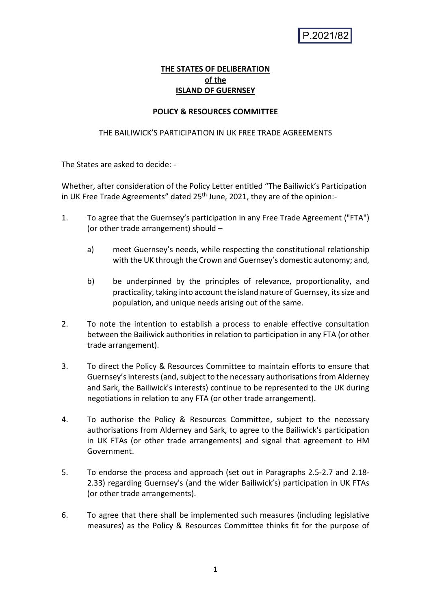P.2021/82

## **THE STATES OF DELIBERATION of the ISLAND OF GUERNSEY**

### **POLICY & RESOURCES COMMITTEE**

### THE BAILIWICK'S PARTICIPATION IN UK FREE TRADE AGREEMENTS

The States are asked to decide: -

Whether, after consideration of the Policy Letter entitled "The Bailiwick's Participation in UK Free Trade Agreements" dated 25<sup>th</sup> June, 2021, they are of the opinion:-

- 1. To agree that the Guernsey's participation in any Free Trade Agreement ("FTA") (or other trade arrangement) should –
	- a) meet Guernsey's needs, while respecting the constitutional relationship with the UK through the Crown and Guernsey's domestic autonomy; and,
	- b) be underpinned by the principles of relevance, proportionality, and practicality, taking into account the island nature of Guernsey, its size and population, and unique needs arising out of the same.
- 2. To note the intention to establish a process to enable effective consultation between the Bailiwick authorities in relation to participation in any FTA (or other trade arrangement).
- 3. To direct the Policy & Resources Committee to maintain efforts to ensure that Guernsey's interests (and, subject to the necessary authorisations from Alderney and Sark, the Bailiwick's interests) continue to be represented to the UK during negotiations in relation to any FTA (or other trade arrangement).
- 4. To authorise the Policy & Resources Committee, subject to the necessary authorisations from Alderney and Sark, to agree to the Bailiwick's participation in UK FTAs (or other trade arrangements) and signal that agreement to HM Government.
- 5. To endorse the process and approach (set out in Paragraphs 2.5-2.7 and 2.18- 2.33) regarding Guernsey's (and the wider Bailiwick's) participation in UK FTAs (or other trade arrangements).
- 6. To agree that there shall be implemented such measures (including legislative measures) as the Policy & Resources Committee thinks fit for the purpose of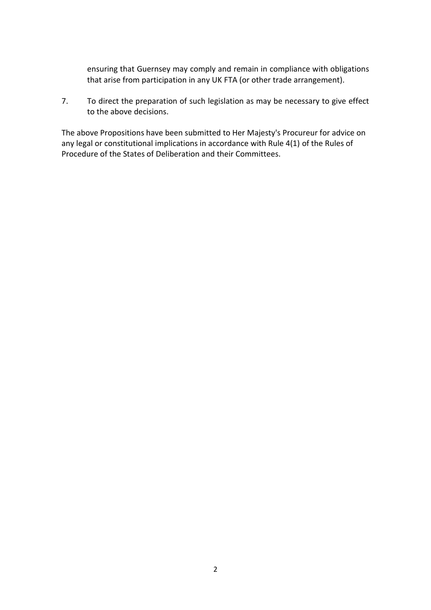ensuring that Guernsey may comply and remain in compliance with obligations that arise from participation in any UK FTA (or other trade arrangement).

7. To direct the preparation of such legislation as may be necessary to give effect to the above decisions.

The above Propositions have been submitted to Her Majesty's Procureur for advice on any legal or constitutional implications in accordance with Rule 4(1) of the Rules of Procedure of the States of Deliberation and their Committees.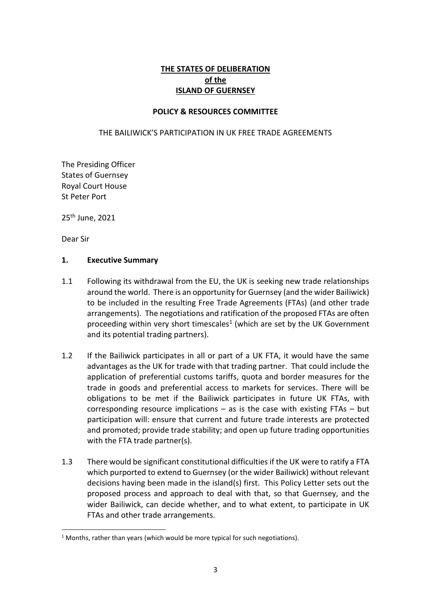# **THE STATES OF DELIBERATION of the ISLAND OF GUERNSEY**

### **POLICY & RESOURCES COMMITTEE**

#### THE BAILIWICK'S PARTICIPATION IN UK FREE TRADE AGREEMENTS

The Presiding Officer States of Guernsey Royal Court House St Peter Port

25 th June, 2021

Dear Sir

#### **1. Executive Summary**

- 1.1 Following its withdrawal from the EU, the UK is seeking new trade relationships around the world. There is an opportunity for Guernsey (and the wider Bailiwick) to be included in the resulting Free Trade Agreements (FTAs) (and other trade arrangements). The negotiations and ratification of the proposed FTAs are often proceeding within very short timescales<sup>1</sup> (which are set by the UK Government and its potential trading partners).
- 1.2 If the Bailiwick participates in all or part of a UK FTA, it would have the same advantages as the UK for trade with that trading partner. That could include the application of preferential customs tariffs, quota and border measures for the trade in goods and preferential access to markets for services. There will be obligations to be met if the Bailiwick participates in future UK FTAs, with corresponding resource implications  $-$  as is the case with existing FTAs  $-$  but participation will: ensure that current and future trade interests are protected and promoted; provide trade stability; and open up future trading opportunities with the FTA trade partner(s).
- 1.3 There would be significant constitutional difficulties if the UK were to ratify a FTA which purported to extend to Guernsey (or the wider Bailiwick) without relevant decisions having been made in the island(s) first. This Policy Letter sets out the proposed process and approach to deal with that, so that Guernsey, and the wider Bailiwick, can decide whether, and to what extent, to participate in UK FTAs and other trade arrangements.

 $1$  Months, rather than years (which would be more typical for such negotiations).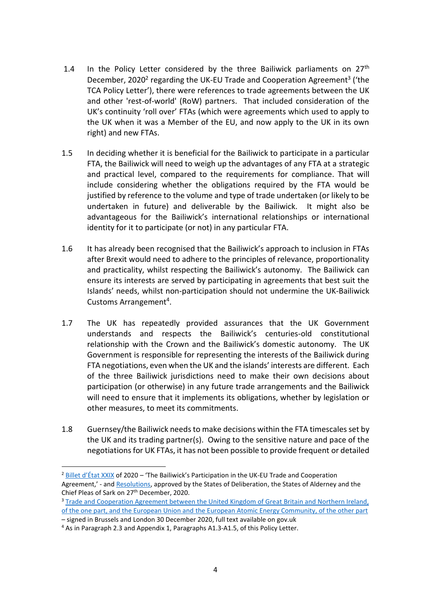- 1.4 In the Policy Letter considered by the three Bailiwick parliaments on  $27<sup>th</sup>$ December, 2020<sup>2</sup> regarding the UK-EU Trade and Cooperation Agreement<sup>3</sup> ('the TCA Policy Letter'), there were references to trade agreements between the UK and other 'rest-of-world' (RoW) partners. That included consideration of the UK's continuity 'roll over' FTAs (which were agreements which used to apply to the UK when it was a Member of the EU, and now apply to the UK in its own right) and new FTAs.
- 1.5 In deciding whether it is beneficial for the Bailiwick to participate in a particular FTA, the Bailiwick will need to weigh up the advantages of any FTA at a strategic and practical level, compared to the requirements for compliance. That will include considering whether the obligations required by the FTA would be justified by reference to the volume and type of trade undertaken (or likely to be undertaken in future) and deliverable by the Bailiwick. It might also be advantageous for the Bailiwick's international relationships or international identity for it to participate (or not) in any particular FTA.
- 1.6 It has already been recognised that the Bailiwick's approach to inclusion in FTAs after Brexit would need to adhere to the principles of relevance, proportionality and practicality, whilst respecting the Bailiwick's autonomy. The Bailiwick can ensure its interests are served by participating in agreements that best suit the Islands' needs, whilst non-participation should not undermine the UK-Bailiwick Customs Arrangement<sup>4</sup>.
- 1.7 The UK has repeatedly provided assurances that the UK Government understands and respects the Bailiwick's centuries-old constitutional relationship with the Crown and the Bailiwick's domestic autonomy. The UK Government is responsible for representing the interests of the Bailiwick during FTA negotiations, even when the UK and the islands' interests are different. Each of the three Bailiwick jurisdictions need to make their own decisions about participation (or otherwise) in any future trade arrangements and the Bailiwick will need to ensure that it implements its obligations, whether by legislation or other measures, to meet its commitments.
- 1.8 Guernsey/the Bailiwick needsto make decisions within the FTA timescales set by the UK and its trading partner(s). Owing to the sensitive nature and pace of the negotiations for UK FTAs, it has not been possible to provide frequent or detailed

<sup>&</sup>lt;sup>2</sup> Billet d'[État XXIX](https://gov.gg/CHttpHandler.ashx?id=134861&p=0) of 2020 – 'The Bailiwick's Participation in the UK-EU Trade and Cooperation Agreement,' - an[d Resolutions,](https://www.gov.gg/CHttpHandler.ashx?id=134872&p=0) approved by the States of Deliberation, the States of Alderney and the Chief Pleas of Sark on 27<sup>th</sup> December, 2020.

<sup>&</sup>lt;sup>3</sup> Trade and Cooperation Agreement between the United Kingdom of Great Britain and Northern Ireland, of the one part, and the European Union and [the European Atomic Energy Community, of the other part](https://assets.publishing.service.gov.uk/government/uploads/system/uploads/attachment_data/file/982648/TS_8.2021_UK_EU_EAEC_Trade_and_Cooperation_Agreement.pdf)

<sup>–</sup> signed in Brussels and London 30 December 2020, full text available on gov.uk

<sup>4</sup> As in Paragraph 2.3 and Appendix 1, Paragraphs A1.3-A1.5, of this Policy Letter.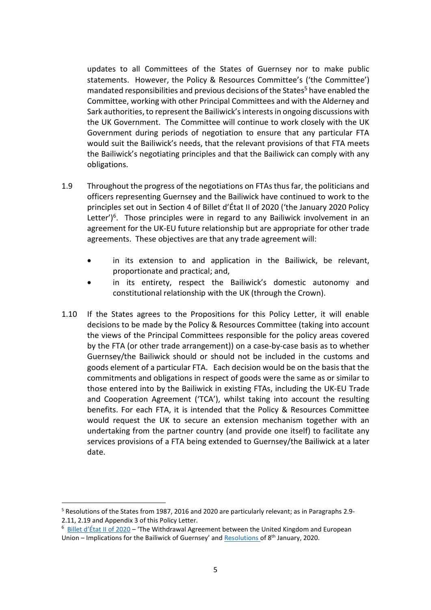updates to all Committees of the States of Guernsey nor to make public statements. However, the Policy & Resources Committee's ('the Committee') mandated responsibilities and previous decisions of the States<sup>5</sup> have enabled the Committee, working with other Principal Committees and with the Alderney and Sark authorities, to represent the Bailiwick's interests in ongoing discussions with the UK Government. The Committee will continue to work closely with the UK Government during periods of negotiation to ensure that any particular FTA would suit the Bailiwick's needs, that the relevant provisions of that FTA meets the Bailiwick's negotiating principles and that the Bailiwick can comply with any obligations.

- 1.9 Throughout the progress of the negotiations on FTAs thus far, the politicians and officers representing Guernsey and the Bailiwick have continued to work to the principles set out in Section 4 of Billet d'État II of 2020 ('the January 2020 Policy Letter')<sup>6</sup>. Those principles were in regard to any Bailiwick involvement in an agreement for the UK-EU future relationship but are appropriate for other trade agreements. These objectives are that any trade agreement will:
	- in its extension to and application in the Bailiwick, be relevant, proportionate and practical; and,
	- in its entirety, respect the Bailiwick's domestic autonomy and constitutional relationship with the UK (through the Crown).
- 1.10 If the States agrees to the Propositions for this Policy Letter, it will enable decisions to be made by the Policy & Resources Committee (taking into account the views of the Principal Committees responsible for the policy areas covered by the FTA (or other trade arrangement)) on a case-by-case basis as to whether Guernsey/the Bailiwick should or should not be included in the customs and goods element of a particular FTA. Each decision would be on the basis that the commitments and obligations in respect of goods were the same as or similar to those entered into by the Bailiwick in existing FTAs, including the UK-EU Trade and Cooperation Agreement ('TCA'), whilst taking into account the resulting benefits. For each FTA, it is intended that the Policy & Resources Committee would request the UK to secure an extension mechanism together with an undertaking from the partner country (and provide one itself) to facilitate any services provisions of a FTA being extended to Guernsey/the Bailiwick at a later date.

<sup>5</sup> Resolutions of the States from 1987, 2016 and 2020 are particularly relevant; as in Paragraphs 2.9- 2.11, 2.19 and Appendix 3 of this Policy Letter.

<sup>6</sup> [Billet d'État II of 2020](https://gov.gg/CHttpHandler.ashx?id=122861&p=0) – 'The Withdrawal Agreement between the United Kingdom and European Union – Implications for the Bailiwick of Guernsey' and [Resolutions](https://gov.gg/CHttpHandler.ashx?id=123020&p=0) of 8<sup>th</sup> January, 2020.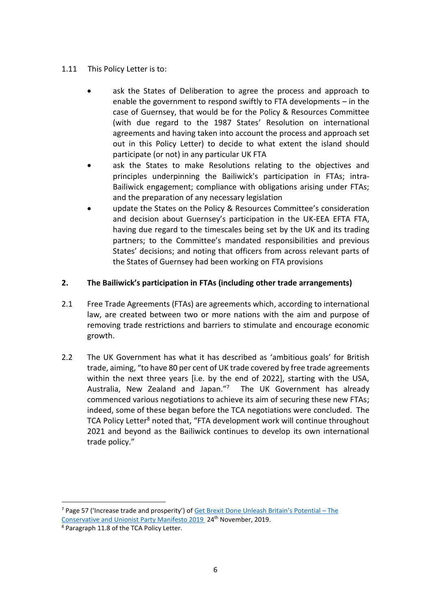## 1.11 This Policy Letter is to:

- ask the States of Deliberation to agree the process and approach to enable the government to respond swiftly to FTA developments – in the case of Guernsey, that would be for the Policy & Resources Committee (with due regard to the 1987 States' Resolution on international agreements and having taken into account the process and approach set out in this Policy Letter) to decide to what extent the island should participate (or not) in any particular UK FTA
- ask the States to make Resolutions relating to the objectives and principles underpinning the Bailiwick's participation in FTAs; intra-Bailiwick engagement; compliance with obligations arising under FTAs; and the preparation of any necessary legislation
- update the States on the Policy & Resources Committee's consideration and decision about Guernsey's participation in the UK-EEA EFTA FTA, having due regard to the timescales being set by the UK and its trading partners; to the Committee's mandated responsibilities and previous States' decisions; and noting that officers from across relevant parts of the States of Guernsey had been working on FTA provisions

## **2. The Bailiwick's participation in FTAs (including other trade arrangements)**

- 2.1 Free Trade Agreements (FTAs) are agreements which, according to international law, are created between two or more nations with the aim and purpose of removing trade restrictions and barriers to stimulate and encourage economic growth.
- 2.2 The UK Government has what it has described as 'ambitious goals' for British trade, aiming, "to have 80 per cent of UK trade covered by free trade agreements within the next three years [i.e. by the end of 2022], starting with the USA, Australia, New Zealand and Japan."<sup>7</sup> The UK Government has already commenced various negotiations to achieve its aim of securing these new FTAs; indeed, some of these began before the TCA negotiations were concluded. The TCA Policy Letter<sup>8</sup> noted that, "FTA development work will continue throughout 2021 and beyond as the Bailiwick continues to develop its own international trade policy."

 $<sup>7</sup>$  Page 57 ('Increase trade and prosperity') of [Get Brexit Done Unleash](https://assets-global.website-files.com/5da42e2cae7ebd3f8bde353c/5dda924905da587992a064ba_Conservative%202019%20Manifesto.pdf) Britain's Potential – The</sup> [Conservative and Unionist Party Manifesto 2019](https://assets-global.website-files.com/5da42e2cae7ebd3f8bde353c/5dda924905da587992a064ba_Conservative%202019%20Manifesto.pdf) 24<sup>th</sup> November, 2019.

<sup>8</sup> Paragraph 11.8 of the TCA Policy Letter.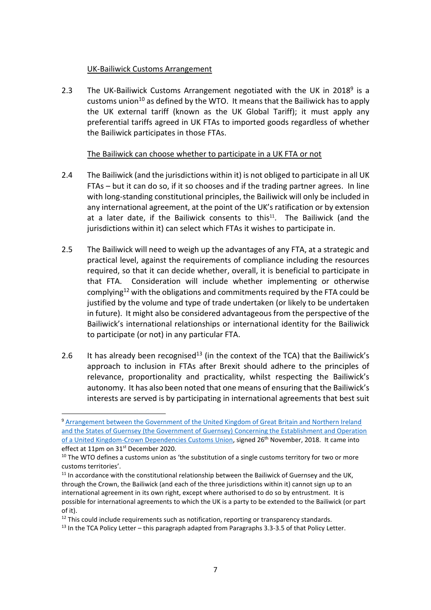## UK-Bailiwick Customs Arrangement

2.3 The UK-Bailiwick Customs Arrangement negotiated with the UK in 2018<sup>9</sup> is a customs union<sup>10</sup> as defined by the WTO. It means that the Bailiwick has to apply the UK external tariff (known as the UK Global Tariff); it must apply any preferential tariffs agreed in UK FTAs to imported goods regardless of whether the Bailiwick participates in those FTAs.

### The Bailiwick can choose whether to participate in a UK FTA or not

- 2.4 The Bailiwick (and the jurisdictions within it) is not obliged to participate in all UK FTAs – but it can do so, if it so chooses and if the trading partner agrees. In line with long-standing constitutional principles, the Bailiwick will only be included in any international agreement, at the point of the UK's ratification or by extension at a later date, if the Bailiwick consents to this<sup>11</sup>. The Bailiwick (and the jurisdictions within it) can select which FTAs it wishes to participate in.
- 2.5 The Bailiwick will need to weigh up the advantages of any FTA, at a strategic and practical level, against the requirements of compliance including the resources required, so that it can decide whether, overall, it is beneficial to participate in that FTA. Consideration will include whether implementing or otherwise complying<sup>12</sup> with the obligations and commitments required by the FTA could be justified by the volume and type of trade undertaken (or likely to be undertaken in future). It might also be considered advantageous from the perspective of the Bailiwick's international relationships or international identity for the Bailiwick to participate (or not) in any particular FTA.
- 2.6 It has already been recognised<sup>13</sup> (in the context of the TCA) that the Bailiwick's approach to inclusion in FTAs after Brexit should adhere to the principles of relevance, proportionality and practicality, whilst respecting the Bailiwick's autonomy. It has also been noted that one means of ensuring that the Bailiwick's interests are served is by participating in international agreements that best suit

<sup>9</sup> Arrangement between the Government of the United Kingdom of Great Britain and Northern Ireland [and the States of Guernsey \(the Government of Guernsey\) Concerning the Establishment and Operation](https://assets.publishing.service.gov.uk/government/uploads/system/uploads/attachment_data/file/759122/Guernsey-UK_Customs_Arrangement_final.pdf)  [of a United Kingdom-Crown Dependencies Customs Union,](https://assets.publishing.service.gov.uk/government/uploads/system/uploads/attachment_data/file/759122/Guernsey-UK_Customs_Arrangement_final.pdf) signed 26<sup>th</sup> November, 2018. It came into effect at 11pm on 31<sup>st</sup> December 2020.

 $10$  The WTO defines a customs union as 'the substitution of a single customs territory for two or more customs territories'.

 $11$  In accordance with the constitutional relationship between the Bailiwick of Guernsey and the UK, through the Crown, the Bailiwick (and each of the three jurisdictions within it) cannot sign up to an international agreement in its own right, except where authorised to do so by entrustment. It is possible for international agreements to which the UK is a party to be extended to the Bailiwick (or part of it).

 $12$  This could include requirements such as notification, reporting or transparency standards.

<sup>&</sup>lt;sup>13</sup> In the TCA Policy Letter – this paragraph adapted from Paragraphs 3.3-3.5 of that Policy Letter.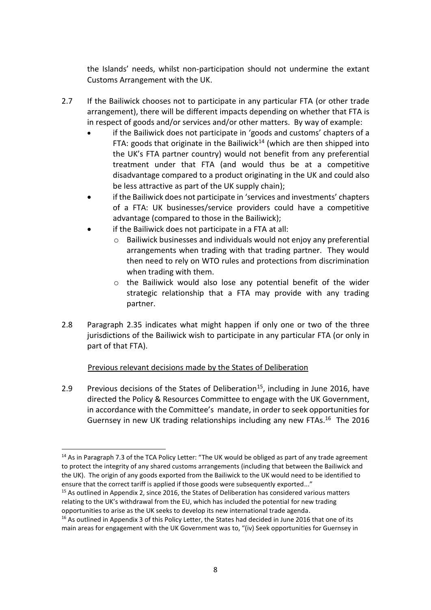the Islands' needs, whilst non-participation should not undermine the extant Customs Arrangement with the UK.

- 2.7 If the Bailiwick chooses not to participate in any particular FTA (or other trade arrangement), there will be different impacts depending on whether that FTA is in respect of goods and/or services and/or other matters. By way of example:
	- if the Bailiwick does not participate in 'goods and customs' chapters of a FTA: goods that originate in the Bailiwick<sup>14</sup> (which are then shipped into the UK's FTA partner country) would not benefit from any preferential treatment under that FTA (and would thus be at a competitive disadvantage compared to a product originating in the UK and could also be less attractive as part of the UK supply chain);
	- if the Bailiwick does not participate in 'services and investments' chapters of a FTA: UK businesses/service providers could have a competitive advantage (compared to those in the Bailiwick);
	- if the Bailiwick does not participate in a FTA at all:
		- o Bailiwick businesses and individuals would not enjoy any preferential arrangements when trading with that trading partner. They would then need to rely on WTO rules and protections from discrimination when trading with them.
		- o the Bailiwick would also lose any potential benefit of the wider strategic relationship that a FTA may provide with any trading partner.
- 2.8 Paragraph 2.35 indicates what might happen if only one or two of the three jurisdictions of the Bailiwick wish to participate in any particular FTA (or only in part of that FTA).

# Previous relevant decisions made by the States of Deliberation

2.9 Previous decisions of the States of Deliberation<sup>15</sup>, including in June 2016, have directed the Policy & Resources Committee to engage with the UK Government, in accordance with the Committee's mandate, in order to seek opportunities for Guernsey in new UK trading relationships including any new FTAs.<sup>16</sup> The 2016

<sup>&</sup>lt;sup>14</sup> As in Paragraph 7.3 of the TCA Policy Letter: "The UK would be obliged as part of any trade agreement to protect the integrity of any shared customs arrangements (including that between the Bailiwick and the UK). The origin of any goods exported from the Bailiwick to the UK would need to be identified to ensure that the correct tariff is applied if those goods were subsequently exported..."

<sup>&</sup>lt;sup>15</sup> As outlined in Appendix 2, since 2016, the States of Deliberation has considered various matters relating to the UK's withdrawal from the EU, which has included the potential for new trading opportunities to arise as the UK seeks to develop its new international trade agenda.

 $16$  As outlined in Appendix 3 of this Policy Letter, the States had decided in June 2016 that one of its main areas for engagement with the UK Government was to, "(iv) Seek opportunities for Guernsey in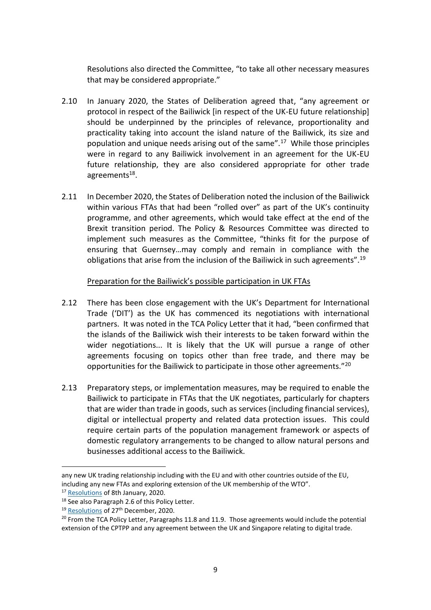Resolutions also directed the Committee, "to take all other necessary measures that may be considered appropriate."

- 2.10 In January 2020, the States of Deliberation agreed that, "any agreement or protocol in respect of the Bailiwick [in respect of the UK-EU future relationship] should be underpinned by the principles of relevance, proportionality and practicality taking into account the island nature of the Bailiwick, its size and population and unique needs arising out of the same".<sup>17</sup> While those principles were in regard to any Bailiwick involvement in an agreement for the UK-EU future relationship, they are also considered appropriate for other trade agreements<sup>18</sup>.
- 2.11 In December 2020, the States of Deliberation noted the inclusion of the Bailiwick within various FTAs that had been "rolled over" as part of the UK's continuity programme, and other agreements, which would take effect at the end of the Brexit transition period. The Policy & Resources Committee was directed to implement such measures as the Committee, "thinks fit for the purpose of ensuring that Guernsey…may comply and remain in compliance with the obligations that arise from the inclusion of the Bailiwick in such agreements".<sup>19</sup>

### Preparation for the Bailiwick's possible participation in UK FTAs

- 2.12 There has been close engagement with the UK's Department for International Trade ('DIT') as the UK has commenced its negotiations with international partners. It was noted in the TCA Policy Letter that it had, "been confirmed that the islands of the Bailiwick wish their interests to be taken forward within the wider negotiations... It is likely that the UK will pursue a range of other agreements focusing on topics other than free trade, and there may be opportunities for the Bailiwick to participate in those other agreements."<sup>20</sup>
- 2.13 Preparatory steps, or implementation measures, may be required to enable the Bailiwick to participate in FTAs that the UK negotiates, particularly for chapters that are wider than trade in goods, such as services (including financial services), digital or intellectual property and related data protection issues. This could require certain parts of the population management framework or aspects of domestic regulatory arrangements to be changed to allow natural persons and businesses additional access to the Bailiwick.

any new UK trading relationship including with the EU and with other countries outside of the EU, including any new FTAs and exploring extension of the UK membership of the WTO".

<sup>&</sup>lt;sup>17</sup> [Resolutions](https://gov.gg/CHttpHandler.ashx?id=123020&p=0) of 8th January, 2020.

<sup>18</sup> See also Paragraph 2.6 of this Policy Letter.

<sup>&</sup>lt;sup>19</sup> [Resolutions](https://www.gov.gg/CHttpHandler.ashx?id=134872&p=0) of 27<sup>th</sup> December, 2020.

 $20$  From the TCA Policy Letter, Paragraphs 11.8 and 11.9. Those agreements would include the potential extension of the CPTPP and any agreement between the UK and Singapore relating to digital trade.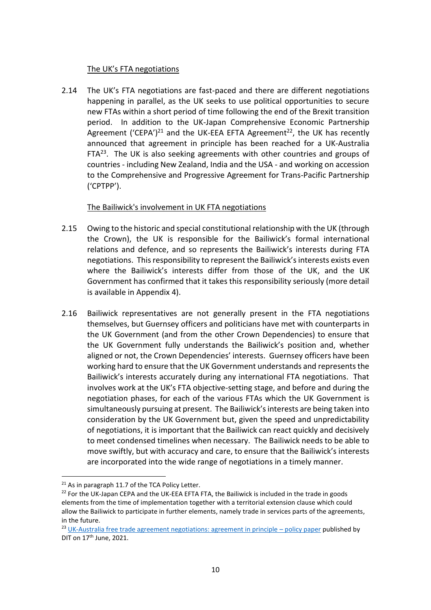## The UK's FTA negotiations

2.14 The UK's FTA negotiations are fast-paced and there are different negotiations happening in parallel, as the UK seeks to use political opportunities to secure new FTAs within a short period of time following the end of the Brexit transition period. In addition to the UK-Japan Comprehensive Economic Partnership Agreement ('CEPA')<sup>21</sup> and the UK-EEA EFTA Agreement<sup>22</sup>, the UK has recently announced that agreement in principle has been reached for a UK-Australia  $FTA^{23}$ . The UK is also seeking agreements with other countries and groups of countries - including New Zealand, India and the USA - and working on accession to the Comprehensive and Progressive Agreement for Trans-Pacific Partnership ('CPTPP').

### The Bailiwick's involvement in UK FTA negotiations

- 2.15 Owing to the historic and special constitutional relationship with the UK (through the Crown), the UK is responsible for the Bailiwick's formal international relations and defence, and so represents the Bailiwick's interests during FTA negotiations. This responsibility to represent the Bailiwick's interests exists even where the Bailiwick's interests differ from those of the UK, and the UK Government has confirmed that it takes this responsibility seriously (more detail is available in Appendix 4).
- 2.16 Bailiwick representatives are not generally present in the FTA negotiations themselves, but Guernsey officers and politicians have met with counterparts in the UK Government (and from the other Crown Dependencies) to ensure that the UK Government fully understands the Bailiwick's position and, whether aligned or not, the Crown Dependencies' interests. Guernsey officers have been working hard to ensure that the UK Government understands and represents the Bailiwick's interests accurately during any international FTA negotiations. That involves work at the UK's FTA objective-setting stage, and before and during the negotiation phases, for each of the various FTAs which the UK Government is simultaneously pursuing at present. The Bailiwick's interests are being taken into consideration by the UK Government but, given the speed and unpredictability of negotiations, it is important that the Bailiwick can react quickly and decisively to meet condensed timelines when necessary. The Bailiwick needs to be able to move swiftly, but with accuracy and care, to ensure that the Bailiwick's interests are incorporated into the wide range of negotiations in a timely manner.

<sup>&</sup>lt;sup>21</sup> As in paragraph 11.7 of the TCA Policy Letter.

 $22$  For the UK-Japan CEPA and the UK-EEA EFTA FTA, the Bailiwick is included in the trade in goods elements from the time of implementation together with a territorial extension clause which could allow the Bailiwick to participate in further elements, namely trade in services parts of the agreements, in the future.

<sup>&</sup>lt;sup>23</sup> [UK-Australia free trade agreement negotiations: agreement in principle](ttps://www.gov.uk/government/publications/uk-australia-free-trade-agreement-negotiations-agreement-in-principle) – policy paper published by DIT on  $17<sup>th</sup>$  June, 2021.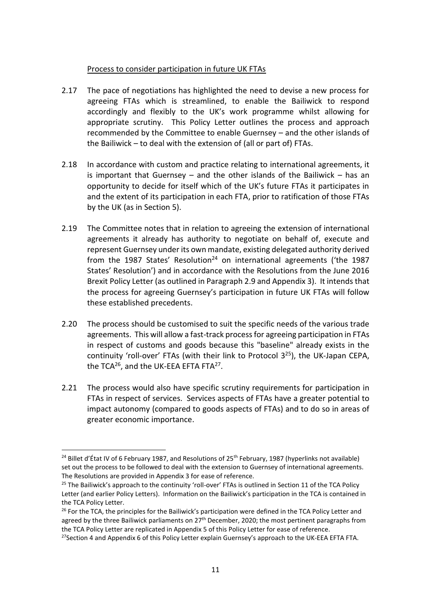### Process to consider participation in future UK FTAs

- 2.17 The pace of negotiations has highlighted the need to devise a new process for agreeing FTAs which is streamlined, to enable the Bailiwick to respond accordingly and flexibly to the UK's work programme whilst allowing for appropriate scrutiny. This Policy Letter outlines the process and approach recommended by the Committee to enable Guernsey – and the other islands of the Bailiwick – to deal with the extension of (all or part of) FTAs.
- 2.18 In accordance with custom and practice relating to international agreements, it is important that Guernsey  $-$  and the other islands of the Bailiwick  $-$  has an opportunity to decide for itself which of the UK's future FTAs it participates in and the extent of its participation in each FTA, prior to ratification of those FTAs by the UK (as in Section 5).
- 2.19 The Committee notes that in relation to agreeing the extension of international agreements it already has authority to negotiate on behalf of, execute and represent Guernsey under its own mandate, existing delegated authority derived from the 1987 States' Resolution<sup>24</sup> on international agreements ('the 1987 States' Resolution') and in accordance with the Resolutions from the June 2016 Brexit Policy Letter (as outlined in Paragraph 2.9 and Appendix 3). It intends that the process for agreeing Guernsey's participation in future UK FTAs will follow these established precedents.
- 2.20 The process should be customised to suit the specific needs of the various trade agreements. This will allow a fast-track process for agreeing participation in FTAs in respect of customs and goods because this "baseline" already exists in the continuity 'roll-over' FTAs (with their link to Protocol  $3^{25}$ ), the UK-Japan CEPA, the TCA<sup>26</sup>, and the UK-EEA EFTA FTA<sup>27</sup>.
- 2.21 The process would also have specific scrutiny requirements for participation in FTAs in respect of services. Services aspects of FTAs have a greater potential to impact autonomy (compared to goods aspects of FTAs) and to do so in areas of greater economic importance.

<sup>&</sup>lt;sup>24</sup> Billet d'État IV of 6 February 1987, and Resolutions of 25<sup>th</sup> February, 1987 (hyperlinks not available) set out the process to be followed to deal with the extension to Guernsey of international agreements. The Resolutions are provided in Appendix 3 for ease of reference.

<sup>&</sup>lt;sup>25</sup> The Bailiwick's approach to the continuity 'roll-over' FTAs is outlined in Section 11 of the TCA Policy Letter (and earlier Policy Letters). Information on the Bailiwick's participation in the TCA is contained in the TCA Policy Letter.

<sup>&</sup>lt;sup>26</sup> For the TCA, the principles for the Bailiwick's participation were defined in the TCA Policy Letter and agreed by the three Bailiwick parliaments on  $27<sup>th</sup>$  December, 2020; the most pertinent paragraphs from the TCA Policy Letter are replicated in Appendix 5 of this Policy Letter for ease of reference.

<sup>&</sup>lt;sup>27</sup> Section 4 and Appendix 6 of this Policy Letter explain Guernsey's approach to the UK-EEA EFTA FTA.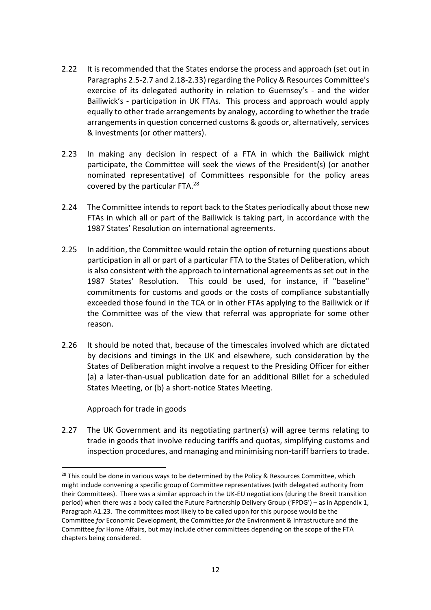- 2.22 It is recommended that the States endorse the process and approach (set out in Paragraphs 2.5-2.7 and 2.18-2.33) regarding the Policy & Resources Committee's exercise of its delegated authority in relation to Guernsey's - and the wider Bailiwick's - participation in UK FTAs. This process and approach would apply equally to other trade arrangements by analogy, according to whether the trade arrangements in question concerned customs & goods or, alternatively, services & investments (or other matters).
- 2.23 In making any decision in respect of a FTA in which the Bailiwick might participate, the Committee will seek the views of the President(s) (or another nominated representative) of Committees responsible for the policy areas covered by the particular FTA.<sup>28</sup>
- 2.24 The Committee intends to report back to the States periodically about those new FTAs in which all or part of the Bailiwick is taking part, in accordance with the 1987 States' Resolution on international agreements.
- 2.25 In addition, the Committee would retain the option of returning questions about participation in all or part of a particular FTA to the States of Deliberation, which is also consistent with the approach to international agreements as set out in the 1987 States' Resolution. This could be used, for instance, if "baseline" commitments for customs and goods or the costs of compliance substantially exceeded those found in the TCA or in other FTAs applying to the Bailiwick or if the Committee was of the view that referral was appropriate for some other reason.
- 2.26 It should be noted that, because of the timescales involved which are dictated by decisions and timings in the UK and elsewhere, such consideration by the States of Deliberation might involve a request to the Presiding Officer for either (a) a later-than-usual publication date for an additional Billet for a scheduled States Meeting, or (b) a short-notice States Meeting.

#### Approach for trade in goods

2.27 The UK Government and its negotiating partner(s) will agree terms relating to trade in goods that involve reducing tariffs and quotas, simplifying customs and inspection procedures, and managing and minimising non-tariff barriers to trade.

<sup>&</sup>lt;sup>28</sup> This could be done in various ways to be determined by the Policy & Resources Committee, which might include convening a specific group of Committee representatives (with delegated authority from their Committees). There was a similar approach in the UK-EU negotiations (during the Brexit transition period) when there was a body called the Future Partnership Delivery Group ('FPDG') – as in Appendix 1, Paragraph A1.23. The committees most likely to be called upon for this purpose would be the Committee *for* Economic Development, the Committee *for the* Environment & Infrastructure and the Committee *for* Home Affairs, but may include other committees depending on the scope of the FTA chapters being considered.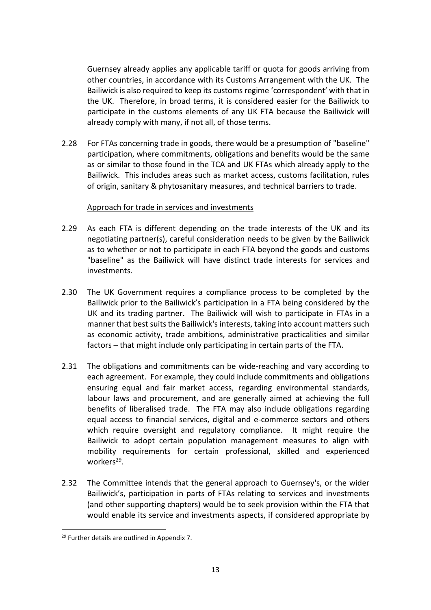Guernsey already applies any applicable tariff or quota for goods arriving from other countries, in accordance with its Customs Arrangement with the UK. The Bailiwick is also required to keep its customs regime 'correspondent' with that in the UK. Therefore, in broad terms, it is considered easier for the Bailiwick to participate in the customs elements of any UK FTA because the Bailiwick will already comply with many, if not all, of those terms.

2.28 For FTAs concerning trade in goods, there would be a presumption of "baseline" participation, where commitments, obligations and benefits would be the same as or similar to those found in the TCA and UK FTAs which already apply to the Bailiwick. This includes areas such as market access, customs facilitation, rules of origin, sanitary & phytosanitary measures, and technical barriers to trade.

### Approach for trade in services and investments

- 2.29 As each FTA is different depending on the trade interests of the UK and its negotiating partner(s), careful consideration needs to be given by the Bailiwick as to whether or not to participate in each FTA beyond the goods and customs "baseline" as the Bailiwick will have distinct trade interests for services and investments.
- 2.30 The UK Government requires a compliance process to be completed by the Bailiwick prior to the Bailiwick's participation in a FTA being considered by the UK and its trading partner. The Bailiwick will wish to participate in FTAs in a manner that best suits the Bailiwick's interests, taking into account matters such as economic activity, trade ambitions, administrative practicalities and similar factors – that might include only participating in certain parts of the FTA.
- 2.31 The obligations and commitments can be wide-reaching and vary according to each agreement. For example, they could include commitments and obligations ensuring equal and fair market access, regarding environmental standards, labour laws and procurement, and are generally aimed at achieving the full benefits of liberalised trade. The FTA may also include obligations regarding equal access to financial services, digital and e-commerce sectors and others which require oversight and regulatory compliance. It might require the Bailiwick to adopt certain population management measures to align with mobility requirements for certain professional, skilled and experienced workers<sup>29</sup>.
- 2.32 The Committee intends that the general approach to Guernsey's, or the wider Bailiwick's, participation in parts of FTAs relating to services and investments (and other supporting chapters) would be to seek provision within the FTA that would enable its service and investments aspects, if considered appropriate by

<sup>&</sup>lt;sup>29</sup> Further details are outlined in Appendix 7.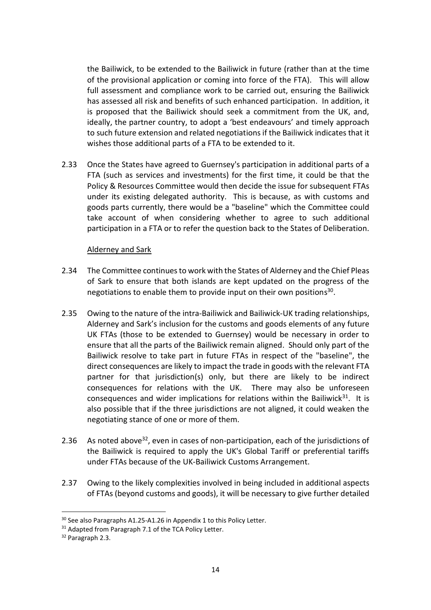the Bailiwick, to be extended to the Bailiwick in future (rather than at the time of the provisional application or coming into force of the FTA). This will allow full assessment and compliance work to be carried out, ensuring the Bailiwick has assessed all risk and benefits of such enhanced participation. In addition, it is proposed that the Bailiwick should seek a commitment from the UK, and, ideally, the partner country, to adopt a 'best endeavours' and timely approach to such future extension and related negotiations if the Bailiwick indicates that it wishes those additional parts of a FTA to be extended to it.

2.33 Once the States have agreed to Guernsey's participation in additional parts of a FTA (such as services and investments) for the first time, it could be that the Policy & Resources Committee would then decide the issue for subsequent FTAs under its existing delegated authority. This is because, as with customs and goods parts currently, there would be a "baseline" which the Committee could take account of when considering whether to agree to such additional participation in a FTA or to refer the question back to the States of Deliberation.

### Alderney and Sark

- 2.34 The Committee continues to work with the States of Alderney and the Chief Pleas of Sark to ensure that both islands are kept updated on the progress of the negotiations to enable them to provide input on their own positions<sup>30</sup>.
- 2.35 Owing to the nature of the intra-Bailiwick and Bailiwick-UK trading relationships, Alderney and Sark's inclusion for the customs and goods elements of any future UK FTAs (those to be extended to Guernsey) would be necessary in order to ensure that all the parts of the Bailiwick remain aligned. Should only part of the Bailiwick resolve to take part in future FTAs in respect of the "baseline", the direct consequences are likely to impact the trade in goods with the relevant FTA partner for that jurisdiction(s) only, but there are likely to be indirect consequences for relations with the UK. There may also be unforeseen consequences and wider implications for relations within the Bailiwick $31$ . It is also possible that if the three jurisdictions are not aligned, it could weaken the negotiating stance of one or more of them.
- 2.36 As noted above<sup>32</sup>, even in cases of non-participation, each of the jurisdictions of the Bailiwick is required to apply the UK's Global Tariff or preferential tariffs under FTAs because of the UK-Bailiwick Customs Arrangement.
- 2.37 Owing to the likely complexities involved in being included in additional aspects of FTAs (beyond customs and goods), it will be necessary to give further detailed

<sup>&</sup>lt;sup>30</sup> See also Paragraphs A1.25-A1.26 in Appendix 1 to this Policy Letter.

<sup>&</sup>lt;sup>31</sup> Adapted from Paragraph 7.1 of the TCA Policy Letter.

<sup>32</sup> Paragraph 2.3.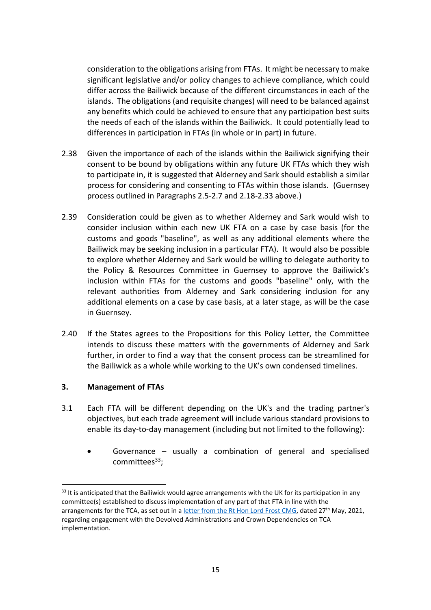consideration to the obligations arising from FTAs. It might be necessary to make significant legislative and/or policy changes to achieve compliance, which could differ across the Bailiwick because of the different circumstances in each of the islands. The obligations (and requisite changes) will need to be balanced against any benefits which could be achieved to ensure that any participation best suits the needs of each of the islands within the Bailiwick. It could potentially lead to differences in participation in FTAs (in whole or in part) in future.

- 2.38 Given the importance of each of the islands within the Bailiwick signifying their consent to be bound by obligations within any future UK FTAs which they wish to participate in, it is suggested that Alderney and Sark should establish a similar process for considering and consenting to FTAs within those islands. (Guernsey process outlined in Paragraphs 2.5-2.7 and 2.18-2.33 above.)
- 2.39 Consideration could be given as to whether Alderney and Sark would wish to consider inclusion within each new UK FTA on a case by case basis (for the customs and goods "baseline", as well as any additional elements where the Bailiwick may be seeking inclusion in a particular FTA). It would also be possible to explore whether Alderney and Sark would be willing to delegate authority to the Policy & Resources Committee in Guernsey to approve the Bailiwick's inclusion within FTAs for the customs and goods "baseline" only, with the relevant authorities from Alderney and Sark considering inclusion for any additional elements on a case by case basis, at a later stage, as will be the case in Guernsey.
- 2.40 If the States agrees to the Propositions for this Policy Letter, the Committee intends to discuss these matters with the governments of Alderney and Sark further, in order to find a way that the consent process can be streamlined for the Bailiwick as a whole while working to the UK's own condensed timelines.

## **3. Management of FTAs**

- 3.1 Each FTA will be different depending on the UK's and the trading partner's objectives, but each trade agreement will include various standard provisions to enable its day-to-day management (including but not limited to the following):
	- Governance usually a combination of general and specialised committees<sup>33</sup>;

 $33$  It is anticipated that the Bailiwick would agree arrangements with the UK for its participation in any committee(s) established to discuss implementation of any part of that FTA in line with the arrangements for the TCA, as set out in [a letter from the Rt Hon Lord Frost CMG,](https://assets.publishing.service.gov.uk/government/uploads/system/uploads/attachment_data/file/990199/Letter_from_Lord_Frost_on_engagement_regarding_EU_matters.pdf) dated 27<sup>th</sup> May, 2021, regarding engagement with the Devolved Administrations and Crown Dependencies on TCA implementation.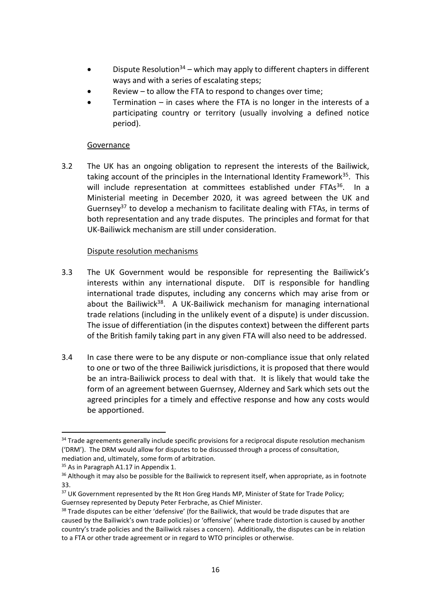- Dispute Resolution<sup>34</sup> which may apply to different chapters in different ways and with a series of escalating steps;
- Review  $-$  to allow the FTA to respond to changes over time;
- Termination  $-$  in cases where the FTA is no longer in the interests of a participating country or territory (usually involving a defined notice period).

## Governance

3.2 The UK has an ongoing obligation to represent the interests of the Bailiwick, taking account of the principles in the International Identity Framework<sup>35</sup>. This will include representation at committees established under FTAs<sup>36</sup>. In a Ministerial meeting in December 2020, it was agreed between the UK and Guernsey<sup>37</sup> to develop a mechanism to facilitate dealing with FTAs, in terms of both representation and any trade disputes. The principles and format for that UK-Bailiwick mechanism are still under consideration.

## Dispute resolution mechanisms

- 3.3 The UK Government would be responsible for representing the Bailiwick's interests within any international dispute. DIT is responsible for handling international trade disputes, including any concerns which may arise from or about the Bailiwick<sup>38</sup>. A UK-Bailiwick mechanism for managing international trade relations (including in the unlikely event of a dispute) is under discussion. The issue of differentiation (in the disputes context) between the different parts of the British family taking part in any given FTA will also need to be addressed.
- 3.4 In case there were to be any dispute or non-compliance issue that only related to one or two of the three Bailiwick jurisdictions, it is proposed that there would be an intra-Bailiwick process to deal with that. It is likely that would take the form of an agreement between Guernsey, Alderney and Sark which sets out the agreed principles for a timely and effective response and how any costs would be apportioned.

<sup>&</sup>lt;sup>34</sup> Trade agreements generally include specific provisions for a reciprocal dispute resolution mechanism ('DRM'). The DRM would allow for disputes to be discussed through a process of consultation, mediation and, ultimately, some form of arbitration.

<sup>&</sup>lt;sup>35</sup> As in Paragraph A1.17 in Appendix 1.

<sup>&</sup>lt;sup>36</sup> Although it may also be possible for the Bailiwick to represent itself, when appropriate, as in footnote 33.

<sup>&</sup>lt;sup>37</sup> UK Government represented by the Rt Hon Greg Hands MP, Minister of State for Trade Policy; Guernsey represented by Deputy Peter Ferbrache, as Chief Minister.

<sup>&</sup>lt;sup>38</sup> Trade disputes can be either 'defensive' (for the Bailiwick, that would be trade disputes that are caused by the Bailiwick's own trade policies) or 'offensive' (where trade distortion is caused by another country's trade policies and the Bailiwick raises a concern). Additionally, the disputes can be in relation to a FTA or other trade agreement or in regard to WTO principles or otherwise.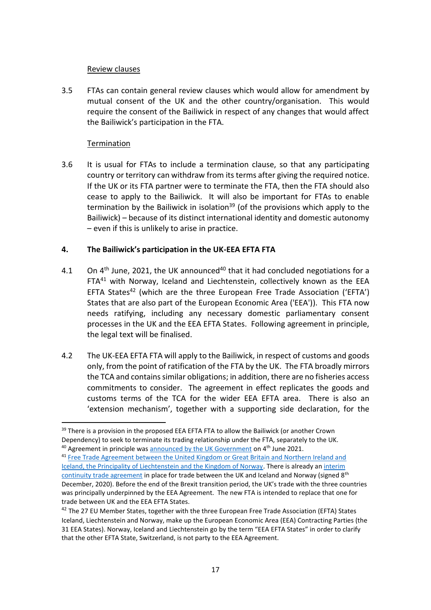### Review clauses

3.5 FTAs can contain general review clauses which would allow for amendment by mutual consent of the UK and the other country/organisation. This would require the consent of the Bailiwick in respect of any changes that would affect the Bailiwick's participation in the FTA.

## **Termination**

3.6 It is usual for FTAs to include a termination clause, so that any participating country or territory can withdraw from its terms after giving the required notice. If the UK or its FTA partner were to terminate the FTA, then the FTA should also cease to apply to the Bailiwick. It will also be important for FTAs to enable termination by the Bailiwick in isolation<sup>39</sup> (of the provisions which apply to the Bailiwick) – because of its distinct international identity and domestic autonomy – even if this is unlikely to arise in practice.

## **4. The Bailiwick's participation in the UK-EEA EFTA FTA**

- 4.1 On  $4<sup>th</sup>$  June, 2021, the UK announced<sup>40</sup> that it had concluded negotiations for a FTA<sup>41</sup> with Norway, Iceland and Liechtenstein, collectively known as the EEA EFTA States<sup>42</sup> (which are the three European Free Trade Association ('EFTA') States that are also part of the European Economic Area ('EEA')). This FTA now needs ratifying, including any necessary domestic parliamentary consent processes in the UK and the EEA EFTA States. Following agreement in principle, the legal text will be finalised.
- 4.2 The UK-EEA EFTA FTA will apply to the Bailiwick, in respect of customs and goods only, from the point of ratification of the FTA by the UK. The FTA broadly mirrors the TCA and contains similar obligations; in addition, there are no fisheries access commitments to consider. The agreement in effect replicates the goods and customs terms of the TCA for the wider EEA EFTA area. There is also an 'extension mechanism', together with a supporting side declaration, for the

<sup>&</sup>lt;sup>39</sup> There is a provision in the proposed EEA EFTA FTA to allow the Bailiwick (or another Crown Dependency) to seek to terminate its trading relationship under the FTA, separately to the UK.  $40$  Agreement in principle was [announced by the UK Government](https://www.gov.uk/government/news/uk-secures-new-deal-with-norway-iceland-and-liechtenstein) on  $4<sup>th</sup>$  June 2021.

<sup>41</sup> Free Trade Agreement between the United Kingdom or Great Britain and Northern Ireland and [Iceland, the Principality of Liechtenstein and the Kingdom of Norway.](https://www.efta.int/sites/default/files/documents/legal-texts/free-trade-relations/UK/EEA-EFTA-UK-FTA-text-compilation-4-June-2021.pdf) There is already a[n interim](https://www.gov.uk/government/news/united-kingdom-norway-and-iceland-sign-trade-continuity-agreement)  [continuity trade agreement](https://www.gov.uk/government/news/united-kingdom-norway-and-iceland-sign-trade-continuity-agreement) in place for trade between the UK and Iceland and Norway (signed 8<sup>th</sup> December, 2020). Before the end of the Brexit transition period, the UK's trade with the three countries was principally underpinned by the EEA Agreement. The new FTA is intended to replace that one for trade between UK and the EEA EFTA States.

<sup>&</sup>lt;sup>42</sup> The 27 EU Member States, together with the three European Free Trade Association (EFTA) States Iceland, Liechtenstein and Norway, make up the European Economic Area (EEA) Contracting Parties (the 31 EEA States). Norway, Iceland and Liechtenstein go by the term "EEA EFTA States" in order to clarify that the other EFTA State, Switzerland, is not party to the EEA Agreement.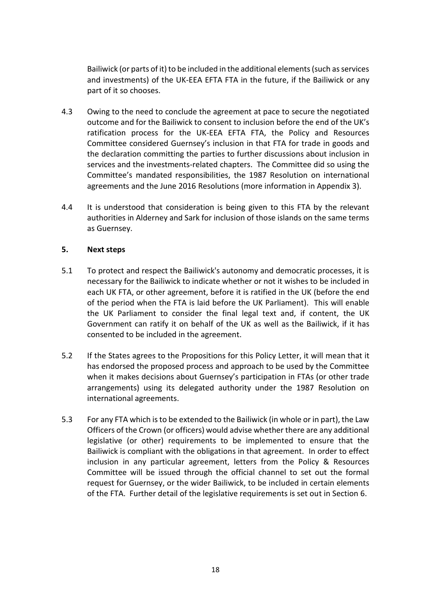Bailiwick (or parts of it) to be included in the additional elements (such as services and investments) of the UK-EEA EFTA FTA in the future, if the Bailiwick or any part of it so chooses.

- 4.3 Owing to the need to conclude the agreement at pace to secure the negotiated outcome and for the Bailiwick to consent to inclusion before the end of the UK's ratification process for the UK-EEA EFTA FTA, the Policy and Resources Committee considered Guernsey's inclusion in that FTA for trade in goods and the declaration committing the parties to further discussions about inclusion in services and the investments-related chapters. The Committee did so using the Committee's mandated responsibilities, the 1987 Resolution on international agreements and the June 2016 Resolutions (more information in Appendix 3).
- 4.4 It is understood that consideration is being given to this FTA by the relevant authorities in Alderney and Sark for inclusion of those islands on the same terms as Guernsey.

### **5. Next steps**

- 5.1 To protect and respect the Bailiwick's autonomy and democratic processes, it is necessary for the Bailiwick to indicate whether or not it wishes to be included in each UK FTA, or other agreement, before it is ratified in the UK (before the end of the period when the FTA is laid before the UK Parliament). This will enable the UK Parliament to consider the final legal text and, if content, the UK Government can ratify it on behalf of the UK as well as the Bailiwick, if it has consented to be included in the agreement.
- 5.2 If the States agrees to the Propositions for this Policy Letter, it will mean that it has endorsed the proposed process and approach to be used by the Committee when it makes decisions about Guernsey's participation in FTAs (or other trade arrangements) using its delegated authority under the 1987 Resolution on international agreements.
- 5.3 For any FTA which is to be extended to the Bailiwick (in whole or in part), the Law Officers of the Crown (or officers) would advise whether there are any additional legislative (or other) requirements to be implemented to ensure that the Bailiwick is compliant with the obligations in that agreement. In order to effect inclusion in any particular agreement, letters from the Policy & Resources Committee will be issued through the official channel to set out the formal request for Guernsey, or the wider Bailiwick, to be included in certain elements of the FTA. Further detail of the legislative requirements is set out in Section 6.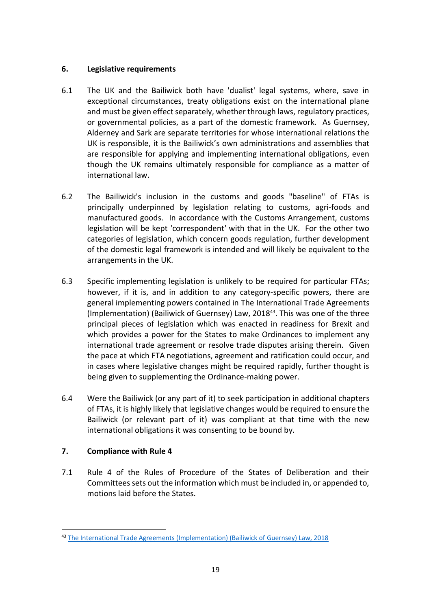## **6. Legislative requirements**

- 6.1 The UK and the Bailiwick both have 'dualist' legal systems, where, save in exceptional circumstances, treaty obligations exist on the international plane and must be given effect separately, whether through laws, regulatory practices, or governmental policies, as a part of the domestic framework. As Guernsey, Alderney and Sark are separate territories for whose international relations the UK is responsible, it is the Bailiwick's own administrations and assemblies that are responsible for applying and implementing international obligations, even though the UK remains ultimately responsible for compliance as a matter of international law.
- 6.2 The Bailiwick's inclusion in the customs and goods "baseline" of FTAs is principally underpinned by legislation relating to customs, agri-foods and manufactured goods. In accordance with the Customs Arrangement, customs legislation will be kept 'correspondent' with that in the UK. For the other two categories of legislation, which concern goods regulation, further development of the domestic legal framework is intended and will likely be equivalent to the arrangements in the UK.
- 6.3 Specific implementing legislation is unlikely to be required for particular FTAs; however, if it is, and in addition to any category-specific powers, there are general implementing powers contained in The International Trade Agreements (Implementation) (Bailiwick of Guernsey) Law, 2018<sup>43</sup>. This was one of the three principal pieces of legislation which was enacted in readiness for Brexit and which provides a power for the States to make Ordinances to implement any international trade agreement or resolve trade disputes arising therein. Given the pace at which FTA negotiations, agreement and ratification could occur, and in cases where legislative changes might be required rapidly, further thought is being given to supplementing the Ordinance-making power.
- 6.4 Were the Bailiwick (or any part of it) to seek participation in additional chapters of FTAs, it is highly likely that legislative changes would be required to ensure the Bailiwick (or relevant part of it) was compliant at that time with the new international obligations it was consenting to be bound by.

# **7. Compliance with Rule 4**

7.1 Rule 4 of the Rules of Procedure of the States of Deliberation and their Committees sets out the information which must be included in, or appended to, motions laid before the States.

<sup>43</sup> [The International Trade Agreements \(Implementation\) \(Bailiwick of](http://www.guernseylegalresources.gg/article/169926/International-Trade-Agreements-Implementation-Bailiwick-of-Guernsey-Law-2018) Guernsey) Law, 2018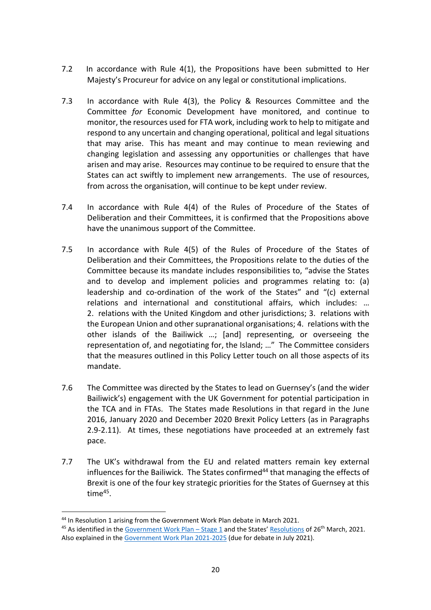- 7.2 In accordance with Rule 4(1), the Propositions have been submitted to Her Majesty's Procureur for advice on any legal or constitutional implications.
- 7.3 In accordance with Rule 4(3), the Policy & Resources Committee and the Committee *for* Economic Development have monitored, and continue to monitor, the resources used for FTA work, including work to help to mitigate and respond to any uncertain and changing operational, political and legal situations that may arise. This has meant and may continue to mean reviewing and changing legislation and assessing any opportunities or challenges that have arisen and may arise. Resources may continue to be required to ensure that the States can act swiftly to implement new arrangements. The use of resources, from across the organisation, will continue to be kept under review.
- 7.4 In accordance with Rule 4(4) of the Rules of Procedure of the States of Deliberation and their Committees, it is confirmed that the Propositions above have the unanimous support of the Committee.
- 7.5 In accordance with Rule 4(5) of the Rules of Procedure of the States of Deliberation and their Committees, the Propositions relate to the duties of the Committee because its mandate includes responsibilities to, "advise the States and to develop and implement policies and programmes relating to: (a) leadership and co-ordination of the work of the States" and "(c) external relations and international and constitutional affairs, which includes: … 2. relations with the United Kingdom and other jurisdictions; 3. relations with the European Union and other supranational organisations; 4. relations with the other islands of the Bailiwick …; [and] representing, or overseeing the representation of, and negotiating for, the Island; …" The Committee considers that the measures outlined in this Policy Letter touch on all those aspects of its mandate.
- 7.6 The Committee was directed by the States to lead on Guernsey's (and the wider Bailiwick's) engagement with the UK Government for potential participation in the TCA and in FTAs. The States made Resolutions in that regard in the June 2016, January 2020 and December 2020 Brexit Policy Letters (as in Paragraphs 2.9-2.11). At times, these negotiations have proceeded at an extremely fast pace.
- 7.7 The UK's withdrawal from the EU and related matters remain key external influences for the Bailiwick. The States confirmed<sup>44</sup> that managing the effects of Brexit is one of the four key strategic priorities for the States of Guernsey at this time<sup>45</sup>.

<sup>&</sup>lt;sup>44</sup> In Resolution 1 arising from the Government Work Plan debate in March 2021.

<sup>&</sup>lt;sup>45</sup> As identified in the [Government Work Plan](https://www.gov.gg/CHttpHandler.ashx?id=136247&p=0) – Stage 1 and the States' [Resolutions](https://www.gov.gg/CHttpHandler.ashx?id=137654&p=0) of 26<sup>th</sup> March, 2021. Also explained in the [Government Work Plan 2021-2025](https://www.gov.gg/CHttpHandler.ashx?id=140789&p=0) (due for debate in July 2021).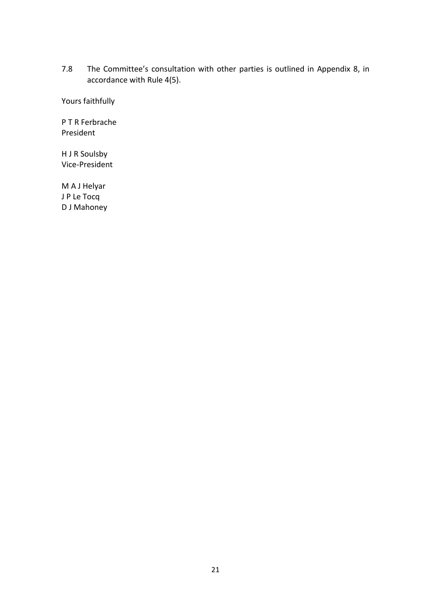7.8 The Committee's consultation with other parties is outlined in Appendix 8, in accordance with Rule 4(5).

Yours faithfully

P T R Ferbrache President

H J R Soulsby Vice-President

M A J Helyar J P Le Tocq D J Mahoney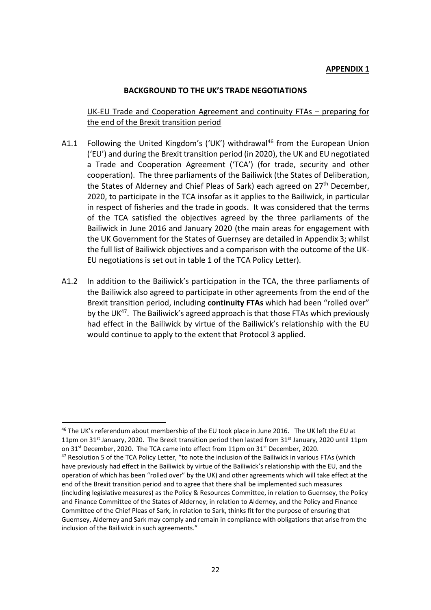#### **APPENDIX 1**

#### **BACKGROUND TO THE UK'S TRADE NEGOTIATIONS**

### UK-EU Trade and Cooperation Agreement and continuity FTAs – preparing for the end of the Brexit transition period

- A1.1 Following the United Kingdom's ('UK') withdrawal<sup>46</sup> from the European Union ('EU') and during the Brexit transition period (in 2020), the UK and EU negotiated a Trade and Cooperation Agreement ('TCA') (for trade, security and other cooperation). The three parliaments of the Bailiwick (the States of Deliberation, the States of Alderney and Chief Pleas of Sark) each agreed on 27<sup>th</sup> December, 2020, to participate in the TCA insofar as it applies to the Bailiwick, in particular in respect of fisheries and the trade in goods. It was considered that the terms of the TCA satisfied the objectives agreed by the three parliaments of the Bailiwick in June 2016 and January 2020 (the main areas for engagement with the UK Government for the States of Guernsey are detailed in Appendix 3; whilst the full list of Bailiwick objectives and a comparison with the outcome of the UK-EU negotiations is set out in table 1 of the TCA Policy Letter).
- A1.2 In addition to the Bailiwick's participation in the TCA, the three parliaments of the Bailiwick also agreed to participate in other agreements from the end of the Brexit transition period, including **continuity FTAs** which had been "rolled over" by the UK<sup>47</sup>. The Bailiwick's agreed approach is that those FTAs which previously had effect in the Bailiwick by virtue of the Bailiwick's relationship with the EU would continue to apply to the extent that Protocol 3 applied.

<sup>46</sup> The UK's referendum about membership of the EU took place in June 2016. The UK left the EU at 11pm on 31<sup>st</sup> January, 2020. The Brexit transition period then lasted from 31<sup>st</sup> January, 2020 until 11pm on  $31<sup>st</sup>$  December, 2020. The TCA came into effect from 11pm on  $31<sup>st</sup>$  December, 2020.

<sup>&</sup>lt;sup>47</sup> Resolution 5 of the TCA Policy Letter, "to note the inclusion of the Bailiwick in various FTAs (which have previously had effect in the Bailiwick by virtue of the Bailiwick's relationship with the EU, and the operation of which has been "rolled over" by the UK) and other agreements which will take effect at the end of the Brexit transition period and to agree that there shall be implemented such measures (including legislative measures) as the Policy & Resources Committee, in relation to Guernsey, the Policy and Finance Committee of the States of Alderney, in relation to Alderney, and the Policy and Finance Committee of the Chief Pleas of Sark, in relation to Sark, thinks fit for the purpose of ensuring that Guernsey, Alderney and Sark may comply and remain in compliance with obligations that arise from the inclusion of the Bailiwick in such agreements."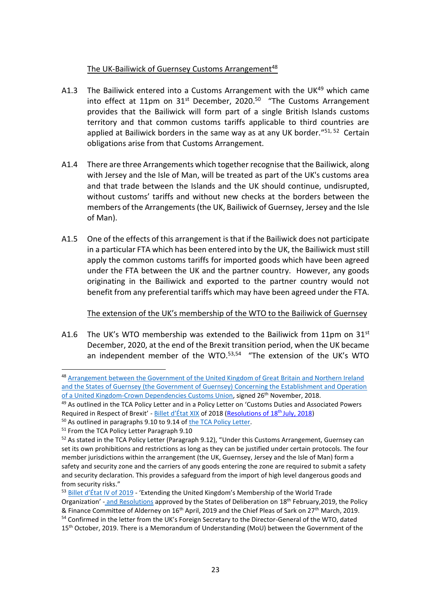## The UK-Bailiwick of Guernsey Customs Arrangement<sup>48</sup>

- A1.3 The Bailiwick entered into a Customs Arrangement with the UK<sup>49</sup> which came into effect at 11pm on 31<sup>st</sup> December, 2020.<sup>50</sup> "The Customs Arrangement provides that the Bailiwick will form part of a single British Islands customs territory and that common customs tariffs applicable to third countries are applied at Bailiwick borders in the same way as at any UK border."<sup>51, 52</sup> Certain obligations arise from that Customs Arrangement.
- A1.4 There are three Arrangements which together recognise that the Bailiwick, along with Jersey and the Isle of Man, will be treated as part of the UK's customs area and that trade between the Islands and the UK should continue, undisrupted, without customs' tariffs and without new checks at the borders between the members of the Arrangements (the UK, Bailiwick of Guernsey, Jersey and the Isle of Man).
- A1.5 One of the effects of this arrangement is that if the Bailiwick does not participate in a particular FTA which has been entered into by the UK, the Bailiwick must still apply the common customs tariffs for imported goods which have been agreed under the FTA between the UK and the partner country. However, any goods originating in the Bailiwick and exported to the partner country would not benefit from any preferential tariffs which may have been agreed under the FTA.

#### The extension of the UK's membership of the WTO to the Bailiwick of Guernsey

A1.6 The UK's WTO membership was extended to the Bailiwick from 11pm on  $31<sup>st</sup>$ December, 2020, at the end of the Brexit transition period, when the UK became an independent member of the WTO.<sup>53,54</sup> "The extension of the UK's WTO

<sup>48</sup> Arrangement between the Government of the United Kingdom of Great Britain and Northern Ireland [and the States of Guernsey \(the Government of Guernsey\) Concerning the Establishment and Operation](https://assets.publishing.service.gov.uk/government/uploads/system/uploads/attachment_data/file/759122/Guernsey-UK_Customs_Arrangement_final.pdf)  [of a United Kingdom-Crown Dependencies Customs Union,](https://assets.publishing.service.gov.uk/government/uploads/system/uploads/attachment_data/file/759122/Guernsey-UK_Customs_Arrangement_final.pdf) signed 26<sup>th</sup> November, 2018.

<sup>&</sup>lt;sup>49</sup> As outlined in the TCA Policy Letter and in a Policy Letter on 'Customs Duties and Associated Powers Required in Respect of Brexit' - [Billet d'État XIX](https://gov.gg/CHttpHandler.ashx?id=113623&p=0) of 2018 [\(Resolutions of 18](https://gov.gg/CHttpHandler.ashx?id=114559&p=0)<sup>th</sup> July, 2018)

<sup>&</sup>lt;sup>50</sup> As outlined in paragraphs 9.10 to 9.14 of [the TCA Policy Letter.](https://gov.gg/CHttpHandler.ashx?id=134861&p=0)

<sup>&</sup>lt;sup>51</sup> From the TCA Policy Letter Paragraph 9.10

<sup>&</sup>lt;sup>52</sup> As stated in the TCA Policy Letter (Paragraph 9.12), "Under this Customs Arrangement, Guernsey can set its own prohibitions and restrictions as long as they can be justified under certain protocols. The four member jurisdictions within the arrangement (the UK, Guernsey, Jersey and the Isle of Man) form a safety and security zone and the carriers of any goods entering the zone are required to submit a safety and security declaration. This provides a safeguard from the import of high level dangerous goods and from security risks."

<sup>53</sup> [Billet d'État IV of 2019](https://gov.gg/CHttpHandler.ashx?id=117770&p=0) - 'Extending the United Kingdom's Membership of the World Trade Organization' - and [Resolutions](https://gov.gg/CHttpHandler.ashx?id=117933&p=0) approved by the States of Deliberation on 18<sup>th</sup> February, 2019, the Policy & Finance Committee of Alderney on 16<sup>th</sup> April, 2019 and the Chief Pleas of Sark on 27<sup>th</sup> March, 2019. <sup>54</sup> Confirmed in the letter from the UK's Foreign Secretary to the Director-General of the WTO, dated 15<sup>th</sup> October, 2019. There is a Memorandum of Understanding (MoU) between the Government of the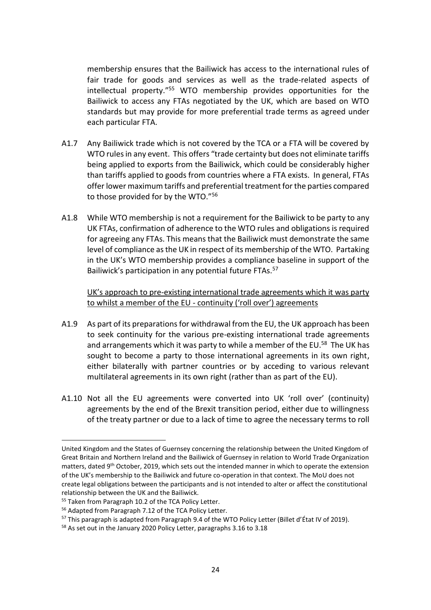membership ensures that the Bailiwick has access to the international rules of fair trade for goods and services as well as the trade-related aspects of intellectual property." <sup>55</sup> WTO membership provides opportunities for the Bailiwick to access any FTAs negotiated by the UK, which are based on WTO standards but may provide for more preferential trade terms as agreed under each particular FTA.

- A1.7 Any Bailiwick trade which is not covered by the TCA or a FTA will be covered by WTO rules in any event. This offers "trade certainty but does not eliminate tariffs being applied to exports from the Bailiwick, which could be considerably higher than tariffs applied to goods from countries where a FTA exists. In general, FTAs offer lower maximum tariffs and preferential treatment for the parties compared to those provided for by the WTO."<sup>56</sup>
- A1.8 While WTO membership is not a requirement for the Bailiwick to be party to any UK FTAs, confirmation of adherence to the WTO rules and obligations is required for agreeing any FTAs. This means that the Bailiwick must demonstrate the same level of compliance as the UK in respect of its membership of the WTO. Partaking in the UK's WTO membership provides a compliance baseline in support of the Bailiwick's participation in any potential future FTAs.<sup>57</sup>

UK's approach to pre-existing international trade agreements which it was party to whilst a member of the EU - continuity ('roll over') agreements

- A1.9 As part of its preparations for withdrawal from the EU, the UK approach has been to seek continuity for the various pre-existing international trade agreements and arrangements which it was party to while a member of the EU.<sup>58</sup> The UK has sought to become a party to those international agreements in its own right, either bilaterally with partner countries or by acceding to various relevant multilateral agreements in its own right (rather than as part of the EU).
- A1.10 Not all the EU agreements were converted into UK 'roll over' (continuity) agreements by the end of the Brexit transition period, either due to willingness of the treaty partner or due to a lack of time to agree the necessary terms to roll

United Kingdom and the States of Guernsey concerning the relationship between the United Kingdom of Great Britain and Northern Ireland and the Bailiwick of Guernsey in relation to World Trade Organization matters, dated 9<sup>th</sup> October, 2019, which sets out the intended manner in which to operate the extension of the UK's membership to the Bailiwick and future co-operation in that context. The MoU does not create legal obligations between the participants and is not intended to alter or affect the constitutional relationship between the UK and the Bailiwick.

<sup>55</sup> Taken from Paragraph 10.2 of the TCA Policy Letter.

<sup>56</sup> Adapted from Paragraph 7.12 of the TCA Policy Letter.

 $57$  This paragraph is adapted from Paragraph 9.4 of the WTO Policy Letter (Billet d'État IV of 2019).

<sup>&</sup>lt;sup>58</sup> As set out in the January 2020 Policy Letter, paragraphs 3.16 to 3.18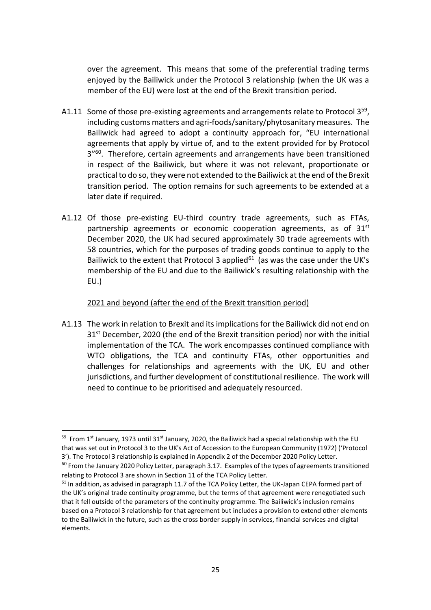over the agreement. This means that some of the preferential trading terms enjoyed by the Bailiwick under the Protocol 3 relationship (when the UK was a member of the EU) were lost at the end of the Brexit transition period.

- A1.11 Some of those pre-existing agreements and arrangements relate to Protocol 3<sup>59</sup>, including customs matters and agri-foods/sanitary/phytosanitary measures. The Bailiwick had agreed to adopt a continuity approach for, "EU international agreements that apply by virtue of, and to the extent provided for by Protocol 3<sup>"60</sup>. Therefore, certain agreements and arrangements have been transitioned in respect of the Bailiwick, but where it was not relevant, proportionate or practical to do so, they were not extended to the Bailiwick at the end of the Brexit transition period. The option remains for such agreements to be extended at a later date if required.
- A1.12 Of those pre-existing EU-third country trade agreements, such as FTAs, partnership agreements or economic cooperation agreements, as of  $31<sup>st</sup>$ December 2020, the UK had secured approximately 30 trade agreements with 58 countries, which for the purposes of trading goods continue to apply to the Bailiwick to the extent that Protocol 3 applied $61$  (as was the case under the UK's membership of the EU and due to the Bailiwick's resulting relationship with the EU.)

### 2021 and beyond (after the end of the Brexit transition period)

A1.13 The work in relation to Brexit and its implications for the Bailiwick did not end on 31<sup>st</sup> December, 2020 (the end of the Brexit transition period) nor with the initial implementation of the TCA. The work encompasses continued compliance with WTO obligations, the TCA and continuity FTAs, other opportunities and challenges for relationships and agreements with the UK, EU and other jurisdictions, and further development of constitutional resilience. The work will need to continue to be prioritised and adequately resourced.

<sup>&</sup>lt;sup>59</sup> From 1<sup>st</sup> January, 1973 until 31<sup>st</sup> January, 2020, the Bailiwick had a special relationship with the EU that was set out in Protocol 3 to the UK's Act of Accession to the European Community (1972) ('Protocol 3'). The Protocol 3 relationship is explained in Appendix 2 of the December 2020 Policy Letter.

 $60$  From the January 2020 Policy Letter, paragraph 3.17. Examples of the types of agreements transitioned relating to Protocol 3 are shown in Section 11 of the TCA Policy Letter.

 $61$  In addition, as advised in paragraph 11.7 of the TCA Policy Letter, the UK-Japan CEPA formed part of the UK's original trade continuity programme, but the terms of that agreement were renegotiated such that it fell outside of the parameters of the continuity programme. The Bailiwick's inclusion remains based on a Protocol 3 relationship for that agreement but includes a provision to extend other elements to the Bailiwick in the future, such as the cross border supply in services, financial services and digital elements.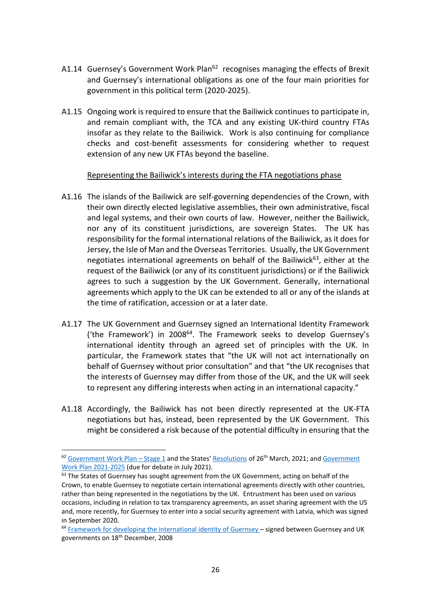- A1.14 Guernsey's Government Work Plan<sup>62</sup> recognises managing the effects of Brexit and Guernsey's international obligations as one of the four main priorities for government in this political term (2020-2025).
- A1.15 Ongoing work is required to ensure that the Bailiwick continues to participate in, and remain compliant with, the TCA and any existing UK-third country FTAs insofar as they relate to the Bailiwick. Work is also continuing for compliance checks and cost-benefit assessments for considering whether to request extension of any new UK FTAs beyond the baseline.

### Representing the Bailiwick's interests during the FTA negotiations phase

- A1.16 The islands of the Bailiwick are self-governing dependencies of the Crown, with their own directly elected legislative assemblies, their own administrative, fiscal and legal systems, and their own courts of law. However, neither the Bailiwick, nor any of its constituent jurisdictions, are sovereign States. The UK has responsibility for the formal international relations of the Bailiwick, as it does for Jersey, the Isle of Man and the Overseas Territories. Usually, the UK Government negotiates international agreements on behalf of the Bailiwick $63$ , either at the request of the Bailiwick (or any of its constituent jurisdictions) or if the Bailiwick agrees to such a suggestion by the UK Government. Generally, international agreements which apply to the UK can be extended to all or any of the islands at the time of ratification, accession or at a later date.
- A1.17 The UK Government and Guernsey signed an International Identity Framework ('the Framework') in 2008<sup>64</sup>. The Framework seeks to develop Guernsey's international identity through an agreed set of principles with the UK. In particular, the Framework states that "the UK will not act internationally on behalf of Guernsey without prior consultation" and that "the UK recognises that the interests of Guernsey may differ from those of the UK, and the UK will seek to represent any differing interests when acting in an international capacity."
- A1.18 Accordingly, the Bailiwick has not been directly represented at the UK-FTA negotiations but has, instead, been represented by the UK Government. This might be considered a risk because of the potential difficulty in ensuring that the

 $62$  [Government Work Plan](https://www.gov.gg/CHttpHandler.ashx?id=136247&p=0) – Stage 1 and the States' [Resolutions](https://www.gov.gg/CHttpHandler.ashx?id=137654&p=0) of 26<sup>th</sup> March, 2021; and Government [Work Plan 2021-2025](https://www.gov.gg/CHttpHandler.ashx?id=140789&p=0) (due for debate in July 2021).

 $63$  The States of Guernsey has sought agreement from the UK Government, acting on behalf of the Crown, to enable Guernsey to negotiate certain international agreements directly with other countries, rather than being represented in the negotiations by the UK. Entrustment has been used on various occasions, including in relation to tax transparency agreements, an asset sharing agreement with the US and, more recently, for Guernsey to enter into a social security agreement with Latvia, which was signed in September 2020.

<sup>&</sup>lt;sup>64</sup> [Framework for developing the international identity of Guernsey](https://www.gov.gg/CHttpHandler.ashx?id=122853&p=0) – signed between Guernsey and UK governments on 18<sup>th</sup> December, 2008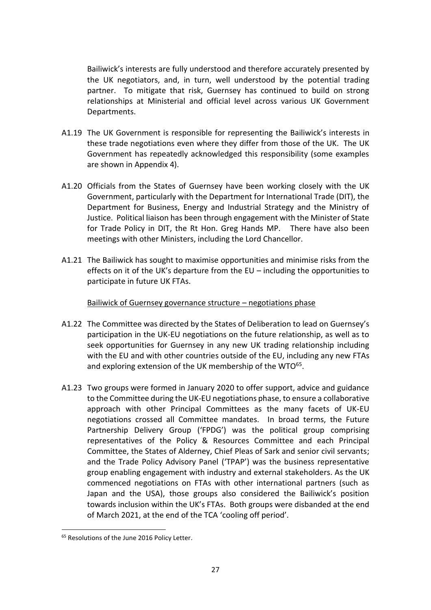Bailiwick's interests are fully understood and therefore accurately presented by the UK negotiators, and, in turn, well understood by the potential trading partner. To mitigate that risk, Guernsey has continued to build on strong relationships at Ministerial and official level across various UK Government Departments.

- A1.19 The UK Government is responsible for representing the Bailiwick's interests in these trade negotiations even where they differ from those of the UK. The UK Government has repeatedly acknowledged this responsibility (some examples are shown in Appendix 4).
- A1.20 Officials from the States of Guernsey have been working closely with the UK Government, particularly with the Department for International Trade (DIT), the Department for Business, Energy and Industrial Strategy and the Ministry of Justice. Political liaison has been through engagement with the Minister of State for Trade Policy in DIT, the Rt Hon. Greg Hands MP. There have also been meetings with other Ministers, including the Lord Chancellor.
- A1.21 The Bailiwick has sought to maximise opportunities and minimise risks from the effects on it of the UK's departure from the EU – including the opportunities to participate in future UK FTAs.

Bailiwick of Guernsey governance structure – negotiations phase

- A1.22 The Committee was directed by the States of Deliberation to lead on Guernsey's participation in the UK-EU negotiations on the future relationship, as well as to seek opportunities for Guernsey in any new UK trading relationship including with the EU and with other countries outside of the EU, including any new FTAs and exploring extension of the UK membership of the WTO<sup>65</sup>.
- A1.23 Two groups were formed in January 2020 to offer support, advice and guidance to the Committee during the UK-EU negotiations phase, to ensure a collaborative approach with other Principal Committees as the many facets of UK-EU negotiations crossed all Committee mandates. In broad terms, the Future Partnership Delivery Group ('FPDG') was the political group comprising representatives of the Policy & Resources Committee and each Principal Committee, the States of Alderney, Chief Pleas of Sark and senior civil servants; and the Trade Policy Advisory Panel ('TPAP') was the business representative group enabling engagement with industry and external stakeholders. As the UK commenced negotiations on FTAs with other international partners (such as Japan and the USA), those groups also considered the Bailiwick's position towards inclusion within the UK's FTAs. Both groups were disbanded at the end of March 2021, at the end of the TCA 'cooling off period'.

<sup>&</sup>lt;sup>65</sup> Resolutions of the June 2016 Policy Letter.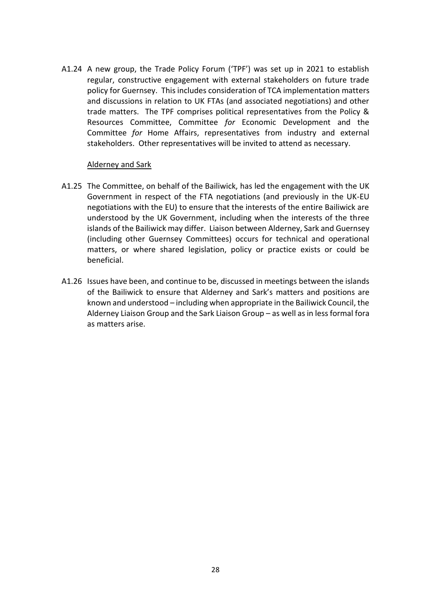A1.24 A new group, the Trade Policy Forum ('TPF') was set up in 2021 to establish regular, constructive engagement with external stakeholders on future trade policy for Guernsey. This includes consideration of TCA implementation matters and discussions in relation to UK FTAs (and associated negotiations) and other trade matters. The TPF comprises political representatives from the Policy & Resources Committee, Committee *for* Economic Development and the Committee *for* Home Affairs, representatives from industry and external stakeholders. Other representatives will be invited to attend as necessary.

#### Alderney and Sark

- A1.25 The Committee, on behalf of the Bailiwick, has led the engagement with the UK Government in respect of the FTA negotiations (and previously in the UK-EU negotiations with the EU) to ensure that the interests of the entire Bailiwick are understood by the UK Government, including when the interests of the three islands of the Bailiwick may differ. Liaison between Alderney, Sark and Guernsey (including other Guernsey Committees) occurs for technical and operational matters, or where shared legislation, policy or practice exists or could be beneficial.
- A1.26 Issues have been, and continue to be, discussed in meetings between the islands of the Bailiwick to ensure that Alderney and Sark's matters and positions are known and understood – including when appropriate in the Bailiwick Council, the Alderney Liaison Group and the Sark Liaison Group – as well as in less formal fora as matters arise.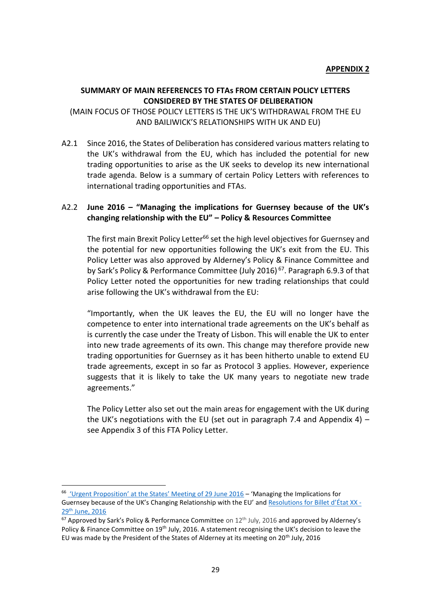#### **SUMMARY OF MAIN REFERENCES TO FTAs FROM CERTAIN POLICY LETTERS CONSIDERED BY THE STATES OF DELIBERATION**

(MAIN FOCUS OF THOSE POLICY LETTERS IS THE UK'S WITHDRAWAL FROM THE EU AND BAILIWICK'S RELATIONSHIPS WITH UK AND EU)

A2.1 Since 2016, the States of Deliberation has considered various matters relating to the UK's withdrawal from the EU, which has included the potential for new trading opportunities to arise as the UK seeks to develop its new international trade agenda. Below is a summary of certain Policy Letters with references to international trading opportunities and FTAs.

## A2.2 **June 2016 – "Managing the implications for Guernsey because of the UK's changing relationship with the EU" – Policy & Resources Committee**

The first main Brexit Policy Letter<sup>66</sup> set the high level objectives for Guernsey and the potential for new opportunities following the UK's exit from the EU. This Policy Letter was also approved by Alderney's Policy & Finance Committee and by Sark's Policy & Performance Committee (July 2016)<sup>67</sup>. Paragraph 6.9.3 of that Policy Letter noted the opportunities for new trading relationships that could arise following the UK's withdrawal from the EU:

"Importantly, when the UK leaves the EU, the EU will no longer have the competence to enter into international trade agreements on the UK's behalf as is currently the case under the Treaty of Lisbon. This will enable the UK to enter into new trade agreements of its own. This change may therefore provide new trading opportunities for Guernsey as it has been hitherto unable to extend EU trade agreements, except in so far as Protocol 3 applies. However, experience suggests that it is likely to take the UK many years to negotiate new trade agreements."

The Policy Letter also set out the main areas for engagement with the UK during the UK's negotiations with the EU (set out in paragraph 7.4 and Appendix 4) – see Appendix 3 of this FTA Policy Letter.

<sup>66</sup> ['Urgent Proposition' at the States' Meeting of 29 June 2016](https://gov.gg/CHttpHandler.ashx?id=102958&p=0) – 'Managing the Implications for Guernsey because of the UK's Changing Relationship with the EU' an[d Resolutions](https://gov.gg/CHttpHandler.ashx?id=102996&p=0) for [Billet d'État XX](https://gov.gg/CHttpHandler.ashx?id=102873&p=0) -29th [June,](https://gov.gg/CHttpHandler.ashx?id=102873&p=0) 2016

 $67$  Approved by Sark's Policy & Performance Committee on  $12<sup>th</sup>$  July, 2016 and approved by Alderney's Policy & Finance Committee on 19<sup>th</sup> July, 2016. A statement recognising the UK's decision to leave the EU was made by the President of the States of Alderney at its meeting on 20<sup>th</sup> July, 2016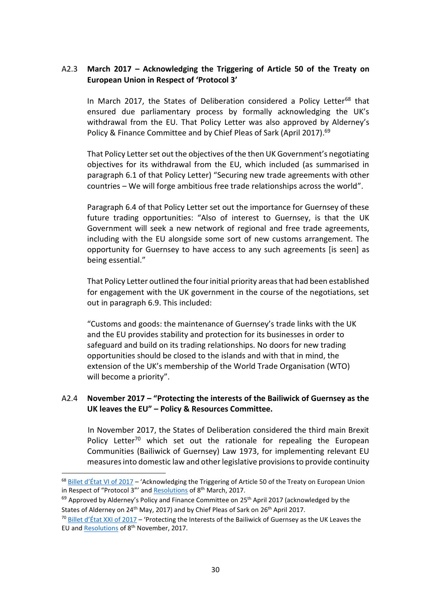## A2.3 **March 2017 – Acknowledging the Triggering of Article 50 of the Treaty on European Union in Respect of 'Protocol 3'**

In March 2017, the States of Deliberation considered a Policy Letter<sup>68</sup> that ensured due parliamentary process by formally acknowledging the UK's withdrawal from the EU. That Policy Letter was also approved by Alderney's Policy & Finance Committee and by Chief Pleas of Sark (April 2017).<sup>69</sup>

That Policy Letter set out the objectives of the then UK Government's negotiating objectives for its withdrawal from the EU, which included (as summarised in paragraph 6.1 of that Policy Letter) "Securing new trade agreements with other countries – We will forge ambitious free trade relationships across the world".

Paragraph 6.4 of that Policy Letter set out the importance for Guernsey of these future trading opportunities: "Also of interest to Guernsey, is that the UK Government will seek a new network of regional and free trade agreements, including with the EU alongside some sort of new customs arrangement. The opportunity for Guernsey to have access to any such agreements [is seen] as being essential."

That Policy Letter outlined the four initial priority areas that had been established for engagement with the UK government in the course of the negotiations, set out in paragraph 6.9. This included:

"Customs and goods: the maintenance of Guernsey's trade links with the UK and the EU provides stability and protection for its businesses in order to safeguard and build on its trading relationships. No doors for new trading opportunities should be closed to the islands and with that in mind, the extension of the UK's membership of the World Trade Organisation (WTO) will become a priority".

### A2.4 **November 2017 – "Protecting the interests of the Bailiwick of Guernsey as the UK leaves the EU" – Policy & Resources Committee.**

In November 2017, the States of Deliberation considered the third main Brexit Policy Letter<sup>70</sup> which set out the rationale for repealing the European Communities (Bailiwick of Guernsey) Law 1973, for implementing relevant EU measures into domestic law and other legislative provisions to provide continuity

<sup>&</sup>lt;sup>68</sup> Billet d['État VI of 2017](https://gov.gg/CHttpHandler.ashx?id=105987&p=0) – 'Acknowledging the Triggering of Article 50 of the Treaty on European Union in Respect of "Protocol 3"' and [Resolutions](https://gov.gg/CHttpHandler.ashx?id=106445&p=0) of 8<sup>th</sup> March, 2017.

 $^{69}$  Approved by Alderney's Policy and Finance Committee on 25<sup>th</sup> April 2017 (acknowledged by the States of Alderney on 24<sup>th</sup> May, 2017) and by Chief Pleas of Sark on 26<sup>th</sup> April 2017.

 $70$  [Billet d'État XXI of 2](https://www.gov.gg/CHttpHandler.ashx?id=110188&p=0)017 – 'Protecting the Interests of the Bailiwick of Guernsey as the UK Leaves the EU and [Resolutions](https://gov.gg/CHttpHandler.ashx?id=110743&p=0) of 8<sup>th</sup> November, 2017.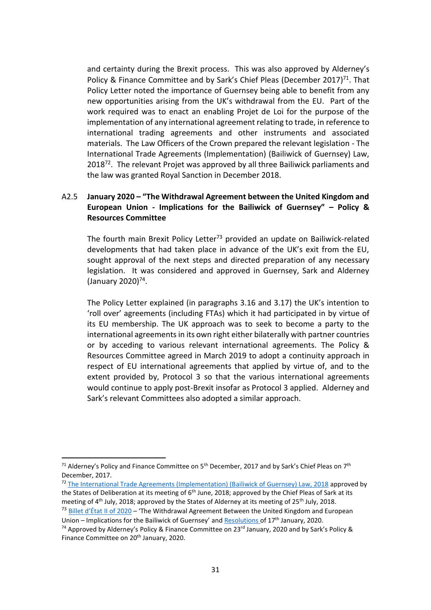and certainty during the Brexit process.This was also approved by Alderney's Policy & Finance Committee and by Sark's Chief Pleas (December 2017)<sup>71</sup>. That Policy Letter noted the importance of Guernsey being able to benefit from any new opportunities arising from the UK's withdrawal from the EU. Part of the work required was to enact an enabling Projet de Loi for the purpose of the implementation of any international agreement relating to trade, in reference to international trading agreements and other instruments and associated materials. The Law Officers of the Crown prepared the relevant legislation - The International Trade Agreements (Implementation) (Bailiwick of Guernsey) Law,  $2018<sup>72</sup>$ . The relevant Projet was approved by all three Bailiwick parliaments and the law was granted Royal Sanction in December 2018.

## A2.5 **January 2020 – "The Withdrawal Agreement between the United Kingdom and European Union - Implications for the Bailiwick of Guernsey" – Policy & Resources Committee**

The fourth main Brexit Policy Letter<sup>73</sup> provided an update on Bailiwick-related developments that had taken place in advance of the UK's exit from the EU, sought approval of the next steps and directed preparation of any necessary legislation. It was considered and approved in Guernsey, Sark and Alderney (January 2020)<sup>74</sup>.

The Policy Letter explained (in paragraphs 3.16 and 3.17) the UK's intention to 'roll over' agreements (including FTAs) which it had participated in by virtue of its EU membership. The UK approach was to seek to become a party to the international agreements in its own right either bilaterally with partner countries or by acceding to various relevant international agreements. The Policy & Resources Committee agreed in March 2019 to adopt a continuity approach in respect of EU international agreements that applied by virtue of, and to the extent provided by, Protocol 3 so that the various international agreements would continue to apply post-Brexit insofar as Protocol 3 applied. Alderney and Sark's relevant Committees also adopted a similar approach.

<sup>&</sup>lt;sup>71</sup> Alderney's Policy and Finance Committee on 5<sup>th</sup> December, 2017 and by Sark's Chief Pleas on 7<sup>th</sup> December, 2017.

<sup>&</sup>lt;sup>72</sup> [The International Trade Agreements \(Implementation\) \(Bailiwick of Guernsey\) Law, 2018](http://www.guernseylegalresources.gg/article/169926/International-Trade-Agreements-Implementation-Bailiwick-of-Guernsey-Law-2018) approved by the States of Deliberation at its meeting of 6<sup>th</sup> June, 2018; approved by the Chief Pleas of Sark at its meeting of 4<sup>th</sup> July, 2018; approved by the States of Alderney at its meeting of 25<sup>th</sup> July, 2018.  $73$  [Billet d'État II of 2020](https://gov.gg/CHttpHandler.ashx?id=122861&p=0) – 'The Withdrawal Agreement Between the United Kingdom and European

Union – Implications for the Bailiwick of Guernsey' and [Resolutions](https://gov.gg/CHttpHandler.ashx?id=123020&p=0) of  $17<sup>th</sup>$  January, 2020.

<sup>&</sup>lt;sup>74</sup> Approved by Alderney's Policy & Finance Committee on 23<sup>rd</sup> January, 2020 and by Sark's Policy & Finance Committee on 20<sup>th</sup> January, 2020.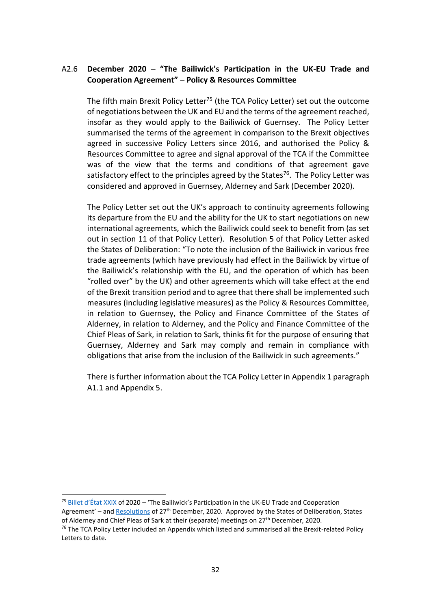## A2.6 **December 2020 – "The Bailiwick's Participation in the UK-EU Trade and Cooperation Agreement" – Policy & Resources Committee**

The fifth main Brexit Policy Letter<sup>75</sup> (the TCA Policy Letter) set out the outcome of negotiations between the UK and EU and the terms of the agreement reached, insofar as they would apply to the Bailiwick of Guernsey. The Policy Letter summarised the terms of the agreement in comparison to the Brexit objectives agreed in successive Policy Letters since 2016, and authorised the Policy & Resources Committee to agree and signal approval of the TCA if the Committee was of the view that the terms and conditions of that agreement gave satisfactory effect to the principles agreed by the States<sup>76</sup>. The Policy Letter was considered and approved in Guernsey, Alderney and Sark (December 2020).

The Policy Letter set out the UK's approach to continuity agreements following its departure from the EU and the ability for the UK to start negotiations on new international agreements, which the Bailiwick could seek to benefit from (as set out in section 11 of that Policy Letter). Resolution 5 of that Policy Letter asked the States of Deliberation: "To note the inclusion of the Bailiwick in various free trade agreements (which have previously had effect in the Bailiwick by virtue of the Bailiwick's relationship with the EU, and the operation of which has been "rolled over" by the UK) and other agreements which will take effect at the end of the Brexit transition period and to agree that there shall be implemented such measures (including legislative measures) as the Policy & Resources Committee, in relation to Guernsey, the Policy and Finance Committee of the States of Alderney, in relation to Alderney, and the Policy and Finance Committee of the Chief Pleas of Sark, in relation to Sark, thinks fit for the purpose of ensuring that Guernsey, Alderney and Sark may comply and remain in compliance with obligations that arise from the inclusion of the Bailiwick in such agreements."

There is further information about the TCA Policy Letter in Appendix 1 paragraph A1.1 and Appendix 5.

<sup>&</sup>lt;sup>75</sup> Billet d'[État XXIX](https://www.gov.gg/CHttpHandler.ashx?id=134861&p=0https://www.gov.gg/CHttpHandler.ashx?id=134861&p=0) of 2020 – 'The Bailiwick's Participation in the UK-EU Trade and Cooperation Agreement' – and [Resolutions](https://www.gov.gg/CHttpHandler.ashx?id=134872&p=0) of 27<sup>th</sup> December, 2020. Approved by the States of Deliberation, States of Alderney and Chief Pleas of Sark at their (separate) meetings on 27<sup>th</sup> December, 2020.

 $76$  The TCA Policy Letter included an Appendix which listed and summarised all the Brexit-related Policy Letters to date.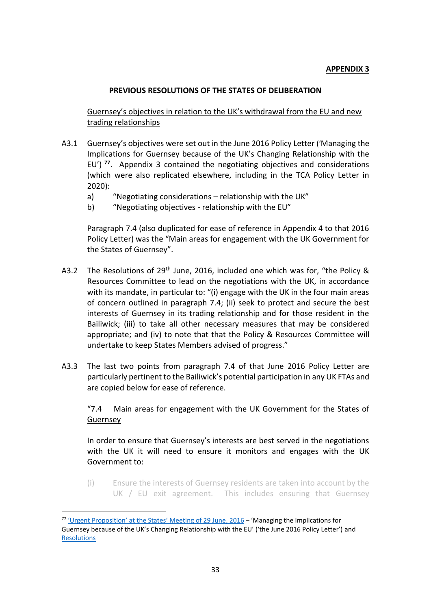## **APPENDIX 3**

### **PREVIOUS RESOLUTIONS OF THE STATES OF DELIBERATION**

Guernsey's objectives in relation to the UK's withdrawal from the EU and new trading relationships

- A3.1 Guernsey's objectives were set out in the June 2016 Policy Letter ('Managing the Implications for Guernsey because of the UK's Changing Relationship with the EU') **<sup>77</sup>**. Appendix 3 contained the negotiating objectives and considerations (which were also replicated elsewhere, including in the TCA Policy Letter in 2020):
	- a) "Negotiating considerations relationship with the UK"
	- b) "Negotiating objectives relationship with the EU"

Paragraph 7.4 (also duplicated for ease of reference in Appendix 4 to that 2016 Policy Letter) was the "Main areas for engagement with the UK Government for the States of Guernsey".

- A3.2 The Resolutions of 29<sup>th</sup> June, 2016, included one which was for, "the Policy & Resources Committee to lead on the negotiations with the UK, in accordance with its mandate, in particular to: "(i) engage with the UK in the four main areas of concern outlined in paragraph 7.4; (ii) seek to protect and secure the best interests of Guernsey in its trading relationship and for those resident in the Bailiwick; (iii) to take all other necessary measures that may be considered appropriate; and (iv) to note that that the Policy & Resources Committee will undertake to keep States Members advised of progress."
- A3.3 The last two points from paragraph 7.4 of that June 2016 Policy Letter are particularly pertinent to the Bailiwick's potential participation in any UK FTAs and are copied below for ease of reference.

## "7.4 Main areas for engagement with the UK Government for the States of Guernsey

In order to ensure that Guernsey's interests are best served in the negotiations with the UK it will need to ensure it monitors and engages with the UK Government to:

(i) Ensure the interests of Guernsey residents are taken into account by the UK / EU exit agreement. This includes ensuring that Guernsey

 $77$  ['Urgent Proposition' at the States' Meeting of 29 June](https://gov.gg/CHttpHandler.ashx?id=102958&p=0), 2016 – 'Managing the Implications for Guernsey because of the UK's Changing Relationship with the EU' ('the June 2016 Policy Letter') and **[Resolutions](https://gov.gg/CHttpHandler.ashx?id=102996&p=0)**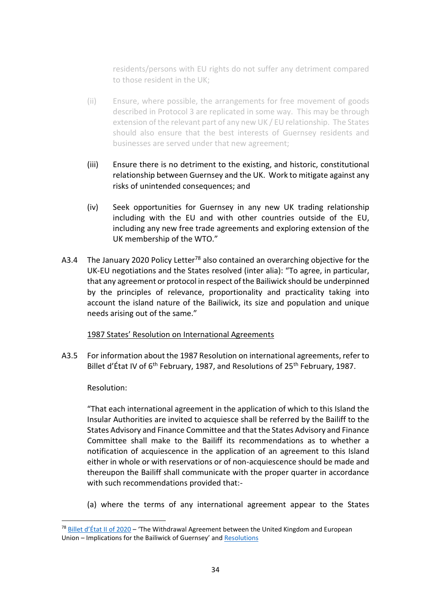residents/persons with EU rights do not suffer any detriment compared to those resident in the UK;

- (ii) Ensure, where possible, the arrangements for free movement of goods described in Protocol 3 are replicated in some way. This may be through extension of the relevant part of any new UK / EU relationship. The States should also ensure that the best interests of Guernsey residents and businesses are served under that new agreement;
- (iii) Ensure there is no detriment to the existing, and historic, constitutional relationship between Guernsey and the UK. Work to mitigate against any risks of unintended consequences; and
- (iv) Seek opportunities for Guernsey in any new UK trading relationship including with the EU and with other countries outside of the EU, including any new free trade agreements and exploring extension of the UK membership of the WTO."
- A3.4 The January 2020 Policy Letter<sup>78</sup> also contained an overarching objective for the UK-EU negotiations and the States resolved (inter alia): "To agree, in particular, that any agreement or protocol in respect of the Bailiwick should be underpinned by the principles of relevance, proportionality and practicality taking into account the island nature of the Bailiwick, its size and population and unique needs arising out of the same."

## 1987 States' Resolution on International Agreements

A3.5 For information about the 1987 Resolution on international agreements, refer to Billet d'État IV of 6<sup>th</sup> February, 1987, and Resolutions of 25<sup>th</sup> February, 1987.

## Resolution:

"That each international agreement in the application of which to this Island the Insular Authorities are invited to acquiesce shall be referred by the Bailiff to the States Advisory and Finance Committee and that the States Advisory and Finance Committee shall make to the Bailiff its recommendations as to whether a notification of acquiescence in the application of an agreement to this Island either in whole or with reservations or of non-acquiescence should be made and thereupon the Bailiff shall communicate with the proper quarter in accordance with such recommendations provided that:-

(a) where the terms of any international agreement appear to the States

 $78$  [Billet d'État II of 2020](https://gov.gg/CHttpHandler.ashx?id=122861&p=0) – 'The Withdrawal Agreement between the United Kingdom and European Union – Implications for the Bailiwick of Guernsey' and [Resolutions](https://gov.gg/CHttpHandler.ashx?id=123020&p=0)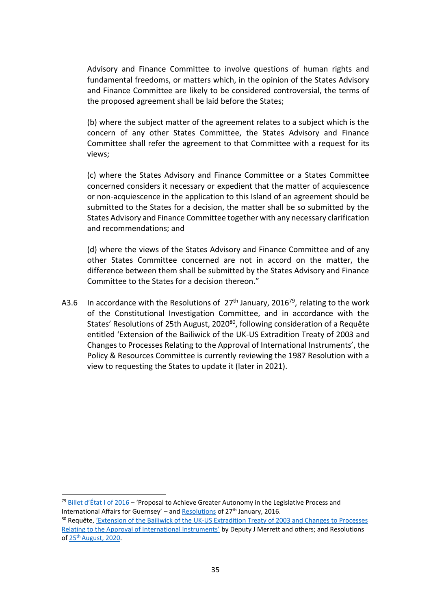Advisory and Finance Committee to involve questions of human rights and fundamental freedoms, or matters which, in the opinion of the States Advisory and Finance Committee are likely to be considered controversial, the terms of the proposed agreement shall be laid before the States;

(b) where the subject matter of the agreement relates to a subject which is the concern of any other States Committee, the States Advisory and Finance Committee shall refer the agreement to that Committee with a request for its views;

(c) where the States Advisory and Finance Committee or a States Committee concerned considers it necessary or expedient that the matter of acquiescence or non-acquiescence in the application to this Island of an agreement should be submitted to the States for a decision, the matter shall be so submitted by the States Advisory and Finance Committee together with any necessary clarification and recommendations; and

(d) where the views of the States Advisory and Finance Committee and of any other States Committee concerned are not in accord on the matter, the difference between them shall be submitted by the States Advisory and Finance Committee to the States for a decision thereon."

A3.6 In accordance with the Resolutions of  $27<sup>th</sup>$  January, 2016<sup>79</sup>, relating to the work of the Constitutional Investigation Committee, and in accordance with the States' Resolutions of 25th August, 2020<sup>80</sup>, following consideration of a Requête entitled 'Extension of the Bailiwick of the UK-US Extradition Treaty of 2003 and Changes to Processes Relating to the Approval of International Instruments', the Policy & Resources Committee is currently reviewing the 1987 Resolution with a view to requesting the States to update it (later in 2021).

<sup>79</sup> Billet d'[État I of 2016](https://www.gov.gg/CHttpHandler.ashx?id=99517&p=0) – 'Proposal to Achieve Greater Autonomy in the Legislative Process and International Affairs for Guernsey' – and [Resolutions](https://www.gov.gg/CHttpHandler.ashx?id=100130&p=0) of 27<sup>th</sup> January, 2016.

<sup>80</sup> Requête, 'Extension of the Bailiwick of the [UK-US Extradition Treaty of 2003 and Changes to Processes](https://www.gov.gg/CHttpHandler.ashx?id=123357&p=0)  [Relating to the Approval of International Instruments'](https://www.gov.gg/CHttpHandler.ashx?id=123357&p=0) by Deputy J Merrett and others; and Resolutions of 25<sup>th</sup> [August, 2020.](https://www.gov.gg/CHttpHandler.ashx?id=129581&p=0)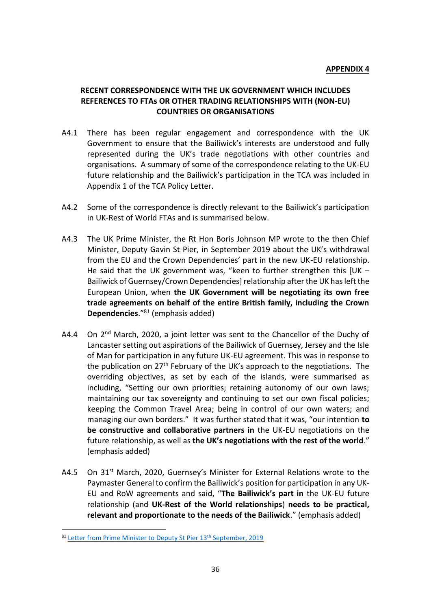### **RECENT CORRESPONDENCE WITH THE UK GOVERNMENT WHICH INCLUDES REFERENCES TO FTAs OR OTHER TRADING RELATIONSHIPS WITH (NON-EU) COUNTRIES OR ORGANISATIONS**

- A4.1 There has been regular engagement and correspondence with the UK Government to ensure that the Bailiwick's interests are understood and fully represented during the UK's trade negotiations with other countries and organisations. A summary of some of the correspondence relating to the UK-EU future relationship and the Bailiwick's participation in the TCA was included in Appendix 1 of the TCA Policy Letter.
- A4.2 Some of the correspondence is directly relevant to the Bailiwick's participation in UK-Rest of World FTAs and is summarised below.
- A4.3 The UK Prime Minister, the Rt Hon Boris Johnson MP wrote to the then Chief Minister, Deputy Gavin St Pier, in September 2019 about the UK's withdrawal from the EU and the Crown Dependencies' part in the new UK-EU relationship. He said that the UK government was, "keen to further strengthen this [UK – Bailiwick of Guernsey/Crown Dependencies] relationship after the UK has left the European Union, when **the UK Government will be negotiating its own free trade agreements on behalf of the entire British family, including the Crown Dependencies**."<sup>81</sup> (emphasis added)
- A4.4 On 2<sup>nd</sup> March, 2020, a joint letter was sent to the Chancellor of the Duchy of Lancaster setting out aspirations of the Bailiwick of Guernsey, Jersey and the Isle of Man for participation in any future UK-EU agreement. This was in response to the publication on 27<sup>th</sup> February of the UK's approach to the negotiations. The overriding objectives, as set by each of the islands, were summarised as including, "Setting our own priorities; retaining autonomy of our own laws; maintaining our tax sovereignty and continuing to set our own fiscal policies; keeping the Common Travel Area; being in control of our own waters; and managing our own borders." It was further stated that it was, "our intention **to be constructive and collaborative partners in** the UK-EU negotiations on the future relationship, as well as **the UK's negotiations with the rest of the world**." (emphasis added)
- A4.5 On 31<sup>st</sup> March, 2020, Guernsey's Minister for External Relations wrote to the Paymaster General to confirm the Bailiwick's position for participation in any UK-EU and RoW agreements and said, "**The Bailiwick's part in** the UK-EU future relationship (and **UK-Rest of the World relationships**) **needs to be practical, relevant and proportionate to the needs of the Bailiwick**." (emphasis added)

<sup>81</sup> [Letter from Prime Minister to Deputy St Pier 13](http://bridge/teamsite/externalrelations/Topic%20-%20Finance%20Industry/BO%20-%20beneficial%20ownership/2019.09.13%20Letter%20from%20Prime%20Minister%20to%20Deputy%20St%20Pier%20on%20relationship%20with%20Bailiwick.pdf)<sup>th</sup> September, 2019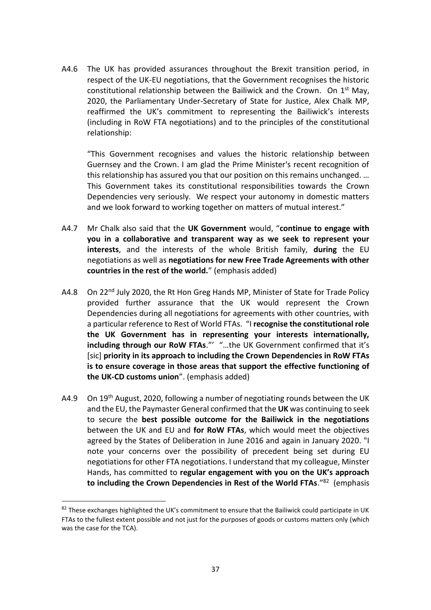A4.6 The UK has provided assurances throughout the Brexit transition period, in respect of the UK-EU negotiations, that the Government recognises the historic constitutional relationship between the Bailiwick and the Crown. On  $1<sup>st</sup>$  May, 2020, the Parliamentary Under-Secretary of State for Justice, Alex Chalk MP, reaffirmed the UK's commitment to representing the Bailiwick's interests (including in RoW FTA negotiations) and to the principles of the constitutional relationship:

"This Government recognises and values the historic relationship between Guernsey and the Crown. I am glad the Prime Minister's recent recognition of this relationship has assured you that our position on this remains unchanged. … This Government takes its constitutional responsibilities towards the Crown Dependencies very seriously. We respect your autonomy in domestic matters and we look forward to working together on matters of mutual interest."

- A4.7 Mr Chalk also said that the **UK Government** would, "**continue to engage with you in a collaborative and transparent way as we seek to represent your interests**, and the interests of the whole British family, **during** the EU negotiations as well as **negotiations for new Free Trade Agreements with other countries in the rest of the world.**" (emphasis added)
- A4.8 On 22<sup>nd</sup> July 2020, the Rt Hon Greg Hands MP, Minister of State for Trade Policy provided further assurance that the UK would represent the Crown Dependencies during all negotiations for agreements with other countries, with a particular reference to Rest of World FTAs. "I **recognise the constitutional role the UK Government has in representing your interests internationally, including through our RoW FTAs**."' "…the UK Government confirmed that it's [sic] **priority in its approach to including the Crown Dependencies in RoW FTAs is to ensure coverage in those areas that support the effective functioning of the UK-CD customs union**". (emphasis added)
- A4.9 On 19<sup>th</sup> August, 2020, following a number of negotiating rounds between the UK and the EU, the Paymaster General confirmed that the **UK** was continuing to seek to secure the **best possible outcome for the Bailiwick in the negotiations** between the UK and EU and **for RoW FTAs**, which would meet the objectives agreed by the States of Deliberation in June 2016 and again in January 2020. "I note your concerns over the possibility of precedent being set during EU negotiations for other FTA negotiations. I understand that my colleague, Minster Hands, has committed to **regular engagement with you on the UK's approach to including the Crown Dependencies in Rest of the World FTAs**."<sup>82</sup> (emphasis

 $82$  These exchanges highlighted the UK's commitment to ensure that the Bailiwick could participate in UK FTAs to the fullest extent possible and not just for the purposes of goods or customs matters only (which was the case for the TCA).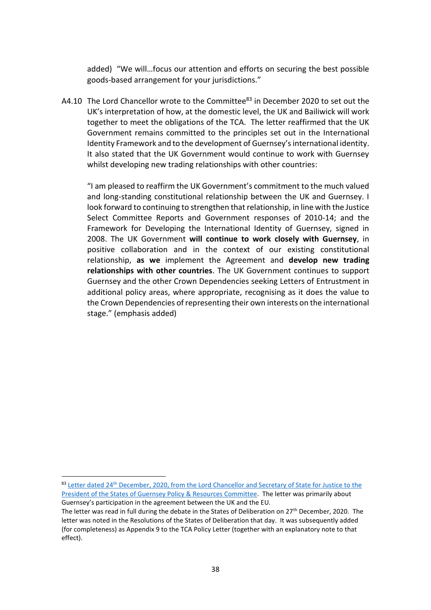added) "We will…focus our attention and efforts on securing the best possible goods-based arrangement for your jurisdictions."

A4.10 The Lord Chancellor wrote to the Committee<sup>83</sup> in December 2020 to set out the UK's interpretation of how, at the domestic level, the UK and Bailiwick will work together to meet the obligations of the TCA. The letter reaffirmed that the UK Government remains committed to the principles set out in the International Identity Framework and to the development of Guernsey's international identity. It also stated that the UK Government would continue to work with Guernsey whilst developing new trading relationships with other countries:

"I am pleased to reaffirm the UK Government's commitment to the much valued and long-standing constitutional relationship between the UK and Guernsey. I look forward to continuing to strengthen that relationship, in line with the Justice Select Committee Reports and Government responses of 2010-14; and the Framework for Developing the International Identity of Guernsey, signed in 2008. The UK Government **will continue to work closely with Guernsey**, in positive collaboration and in the context of our existing constitutional relationship, **as we** implement the Agreement and **develop new trading relationships with other countries**. The UK Government continues to support Guernsey and the other Crown Dependencies seeking Letters of Entrustment in additional policy areas, where appropriate, recognising as it does the value to the Crown Dependencies of representing their own interests on the international stage." (emphasis added)

<sup>83</sup> Letter dated 24<sup>th</sup> December, 2020, from the Lord Chancellor and Secretary of State for Justice to the [President of the States of Guernsey Policy & Resources Committee.](https://gov.gg/CHttpHandler.ashx?id=137898&p=0) The letter was primarily about Guernsey's participation in the agreement between the UK and the EU.

The letter was read in full during the debate in the States of Deliberation on 27<sup>th</sup> December, 2020. The letter was noted in the Resolutions of the States of Deliberation that day. It was subsequently added (for completeness) as Appendix 9 to the TCA Policy Letter (together with an explanatory note to that effect).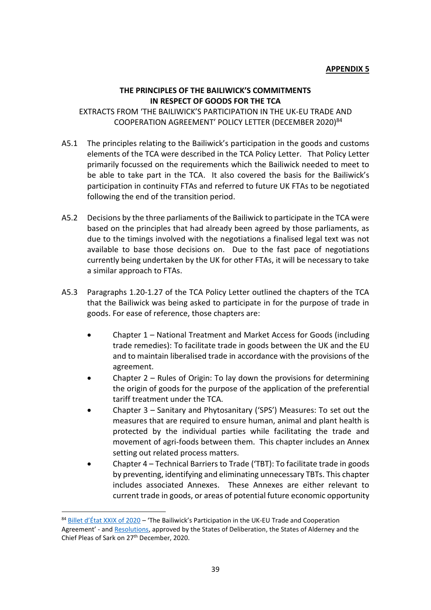#### **THE PRINCIPLES OF THE BAILIWICK'S COMMITMENTS IN RESPECT OF GOODS FOR THE TCA**

EXTRACTS FROM 'THE BAILIWICK'S PARTICIPATION IN THE UK-EU TRADE AND COOPERATION AGREEMENT' POLICY LETTER (DECEMBER 2020)<sup>84</sup>

- A5.1 The principles relating to the Bailiwick's participation in the goods and customs elements of the TCA were described in the TCA Policy Letter. That Policy Letter primarily focussed on the requirements which the Bailiwick needed to meet to be able to take part in the TCA. It also covered the basis for the Bailiwick's participation in continuity FTAs and referred to future UK FTAs to be negotiated following the end of the transition period.
- A5.2 Decisions by the three parliaments of the Bailiwick to participate in the TCA were based on the principles that had already been agreed by those parliaments, as due to the timings involved with the negotiations a finalised legal text was not available to base those decisions on. Due to the fast pace of negotiations currently being undertaken by the UK for other FTAs, it will be necessary to take a similar approach to FTAs.
- A5.3 Paragraphs 1.20-1.27 of the TCA Policy Letter outlined the chapters of the TCA that the Bailiwick was being asked to participate in for the purpose of trade in goods. For ease of reference, those chapters are:
	- Chapter 1 National Treatment and Market Access for Goods (including trade remedies): To facilitate trade in goods between the UK and the EU and to maintain liberalised trade in accordance with the provisions of the agreement.
	- Chapter  $2$  Rules of Origin: To lay down the provisions for determining the origin of goods for the purpose of the application of the preferential tariff treatment under the TCA.
	- Chapter 3 Sanitary and Phytosanitary ('SPS') Measures: To set out the measures that are required to ensure human, animal and plant health is protected by the individual parties while facilitating the trade and movement of agri-foods between them. This chapter includes an Annex setting out related process matters.
	- Chapter 4 Technical Barriers to Trade ('TBT): To facilitate trade in goods by preventing, identifying and eliminating unnecessary TBTs. This chapter includes associated Annexes. These Annexes are either relevant to current trade in goods, or areas of potential future economic opportunity

<sup>84</sup> [Billet d'État XXIX of 2020](https://gov.gg/CHttpHandler.ashx?id=134861&p=0) – 'The Bailiwick's Participation in the UK-EU Trade and Cooperation Agreement' - and [Resolutions,](https://www.gov.gg/CHttpHandler.ashx?id=134872&p=0) approved by the States of Deliberation, the States of Alderney and the Chief Pleas of Sark on 27<sup>th</sup> December, 2020.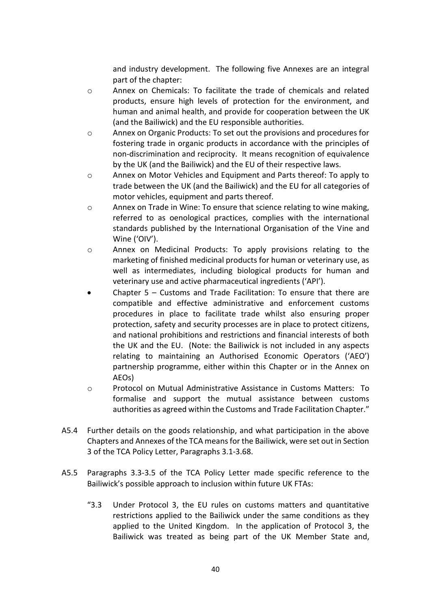and industry development. The following five Annexes are an integral part of the chapter:

- o Annex on Chemicals: To facilitate the trade of chemicals and related products, ensure high levels of protection for the environment, and human and animal health, and provide for cooperation between the UK (and the Bailiwick) and the EU responsible authorities.
- o Annex on Organic Products: To set out the provisions and procedures for fostering trade in organic products in accordance with the principles of non-discrimination and reciprocity. It means recognition of equivalence by the UK (and the Bailiwick) and the EU of their respective laws.
- o Annex on Motor Vehicles and Equipment and Parts thereof: To apply to trade between the UK (and the Bailiwick) and the EU for all categories of motor vehicles, equipment and parts thereof.
- o Annex on Trade in Wine: To ensure that science relating to wine making, referred to as oenological practices, complies with the international standards published by the International Organisation of the Vine and Wine ('OIV').
- $\circ$  Annex on Medicinal Products: To apply provisions relating to the marketing of finished medicinal products for human or veterinary use, as well as intermediates, including biological products for human and veterinary use and active pharmaceutical ingredients ('API').
- Chapter  $5 -$  Customs and Trade Facilitation: To ensure that there are compatible and effective administrative and enforcement customs procedures in place to facilitate trade whilst also ensuring proper protection, safety and security processes are in place to protect citizens, and national prohibitions and restrictions and financial interests of both the UK and the EU. (Note: the Bailiwick is not included in any aspects relating to maintaining an Authorised Economic Operators ('AEO') partnership programme, either within this Chapter or in the Annex on AEOs)
- o Protocol on Mutual Administrative Assistance in Customs Matters: To formalise and support the mutual assistance between customs authorities as agreed within the Customs and Trade Facilitation Chapter."
- A5.4 Further details on the goods relationship, and what participation in the above Chapters and Annexes of the TCA means for the Bailiwick, were set out in Section 3 of the TCA Policy Letter, Paragraphs 3.1-3.68.
- A5.5 Paragraphs 3.3-3.5 of the TCA Policy Letter made specific reference to the Bailiwick's possible approach to inclusion within future UK FTAs:
	- "3.3 Under Protocol 3, the EU rules on customs matters and quantitative restrictions applied to the Bailiwick under the same conditions as they applied to the United Kingdom. In the application of Protocol 3, the Bailiwick was treated as being part of the UK Member State and,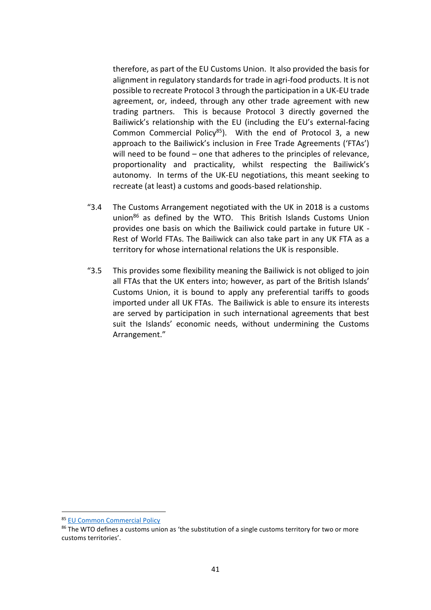therefore, as part of the EU Customs Union. It also provided the basis for alignment in regulatory standards for trade in agri-food products. It is not possible to recreate Protocol 3 through the participation in a UK-EU trade agreement, or, indeed, through any other trade agreement with new trading partners. This is because Protocol 3 directly governed the Bailiwick's relationship with the EU (including the EU's external-facing Common Commercial Policy<sup>85</sup>). With the end of Protocol 3, a new approach to the Bailiwick's inclusion in Free Trade Agreements ('FTAs') will need to be found – one that adheres to the principles of relevance, proportionality and practicality, whilst respecting the Bailiwick's autonomy. In terms of the UK-EU negotiations, this meant seeking to recreate (at least) a customs and goods-based relationship.

- "3.4 The Customs Arrangement negotiated with the UK in 2018 is a customs union<sup>86</sup> as defined by the WTO. This British Islands Customs Union provides one basis on which the Bailiwick could partake in future UK - Rest of World FTAs. The Bailiwick can also take part in any UK FTA as a territory for whose international relations the UK is responsible.
- "3.5 This provides some flexibility meaning the Bailiwick is not obliged to join all FTAs that the UK enters into; however, as part of the British Islands' Customs Union, it is bound to apply any preferential tariffs to goods imported under all UK FTAs. The Bailiwick is able to ensure its interests are served by participation in such international agreements that best suit the Islands' economic needs, without undermining the Customs Arrangement."

<sup>85</sup> [EU Common Commercial Policy](https://eur-lex.europa.eu/legal-content/EN/TXT/?uri=LEGISSUM%3Aa20000)

<sup>86</sup> The WTO defines a customs union as 'the substitution of a single customs territory for two or more customs territories'.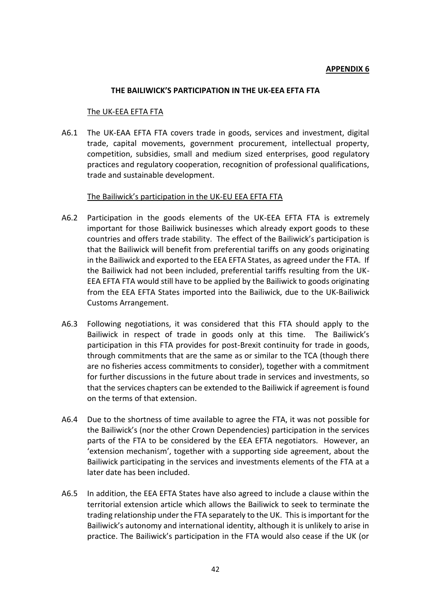#### **APPENDIX 6**

#### **THE BAILIWICK'S PARTICIPATION IN THE UK-EEA EFTA FTA**

#### The UK-EEA EFTA FTA

A6.1 The UK-EAA EFTA FTA covers trade in goods, services and investment, digital trade, capital movements, government procurement, intellectual property, competition, subsidies, small and medium sized enterprises, good regulatory practices and regulatory cooperation, recognition of professional qualifications, trade and sustainable development.

#### The Bailiwick's participation in the UK-EU EEA EFTA FTA

- A6.2 Participation in the goods elements of the UK-EEA EFTA FTA is extremely important for those Bailiwick businesses which already export goods to these countries and offers trade stability. The effect of the Bailiwick's participation is that the Bailiwick will benefit from preferential tariffs on any goods originating in the Bailiwick and exported to the EEA EFTA States, as agreed under the FTA. If the Bailiwick had not been included, preferential tariffs resulting from the UK-EEA EFTA FTA would still have to be applied by the Bailiwick to goods originating from the EEA EFTA States imported into the Bailiwick, due to the UK-Bailiwick Customs Arrangement.
- A6.3 Following negotiations, it was considered that this FTA should apply to the Bailiwick in respect of trade in goods only at this time. The Bailiwick's participation in this FTA provides for post-Brexit continuity for trade in goods, through commitments that are the same as or similar to the TCA (though there are no fisheries access commitments to consider), together with a commitment for further discussions in the future about trade in services and investments, so that the services chapters can be extended to the Bailiwick if agreement is found on the terms of that extension.
- A6.4 Due to the shortness of time available to agree the FTA, it was not possible for the Bailiwick's (nor the other Crown Dependencies) participation in the services parts of the FTA to be considered by the EEA EFTA negotiators. However, an 'extension mechanism', together with a supporting side agreement, about the Bailiwick participating in the services and investments elements of the FTA at a later date has been included.
- A6.5 In addition, the EEA EFTA States have also agreed to include a clause within the territorial extension article which allows the Bailiwick to seek to terminate the trading relationship under the FTA separately to the UK. This is important for the Bailiwick's autonomy and international identity, although it is unlikely to arise in practice. The Bailiwick's participation in the FTA would also cease if the UK (or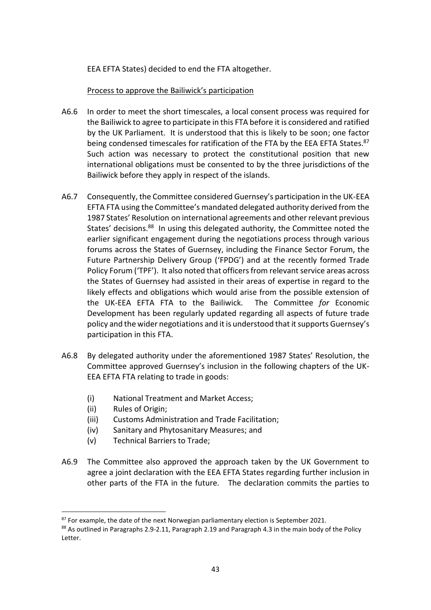EEA EFTA States) decided to end the FTA altogether.

### Process to approve the Bailiwick's participation

- A6.6 In order to meet the short timescales, a local consent process was required for the Bailiwick to agree to participate in this FTA before it is considered and ratified by the UK Parliament. It is understood that this is likely to be soon; one factor being condensed timescales for ratification of the FTA by the EEA EFTA States.<sup>87</sup> Such action was necessary to protect the constitutional position that new international obligations must be consented to by the three jurisdictions of the Bailiwick before they apply in respect of the islands.
- A6.7 Consequently, the Committee considered Guernsey's participation in the UK-EEA EFTA FTA using the Committee's mandated delegated authority derived from the 1987 States' Resolution on international agreements and other relevant previous States' decisions.<sup>88</sup> In using this delegated authority, the Committee noted the earlier significant engagement during the negotiations process through various forums across the States of Guernsey, including the Finance Sector Forum, the Future Partnership Delivery Group ('FPDG') and at the recently formed Trade Policy Forum ('TPF'). It also noted that officers from relevant service areas across the States of Guernsey had assisted in their areas of expertise in regard to the likely effects and obligations which would arise from the possible extension of the UK-EEA EFTA FTA to the Bailiwick. The Committee *for* Economic Development has been regularly updated regarding all aspects of future trade policy and the wider negotiations and it is understood that it supports Guernsey's participation in this FTA.
- A6.8 By delegated authority under the aforementioned 1987 States' Resolution, the Committee approved Guernsey's inclusion in the following chapters of the UK-EEA EFTA FTA relating to trade in goods:
	- (i) National Treatment and Market Access;
	- (ii) Rules of Origin;
	- (iii) Customs Administration and Trade Facilitation;
	- (iv) Sanitary and Phytosanitary Measures; and
	- (v) Technical Barriers to Trade;
- A6.9 The Committee also approved the approach taken by the UK Government to agree a joint declaration with the EEA EFTA States regarding further inclusion in other parts of the FTA in the future. The declaration commits the parties to

 $87$  For example, the date of the next Norwegian parliamentary election is September 2021.

<sup>88</sup> As outlined in Paragraphs 2.9-2.11, Paragraph 2.19 and Paragraph 4.3 in the main body of the Policy Letter.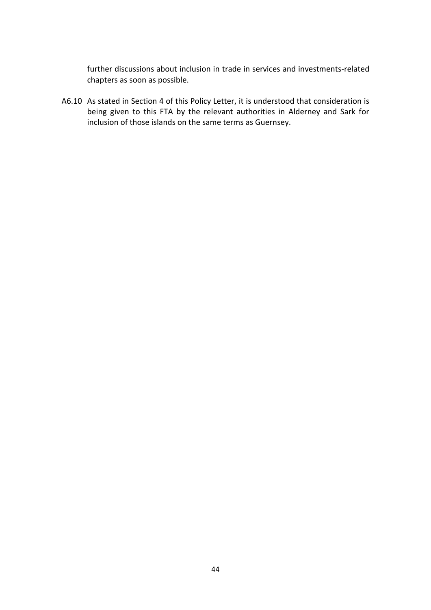further discussions about inclusion in trade in services and investments-related chapters as soon as possible.

A6.10 As stated in Section 4 of this Policy Letter, it is understood that consideration is being given to this FTA by the relevant authorities in Alderney and Sark for inclusion of those islands on the same terms as Guernsey.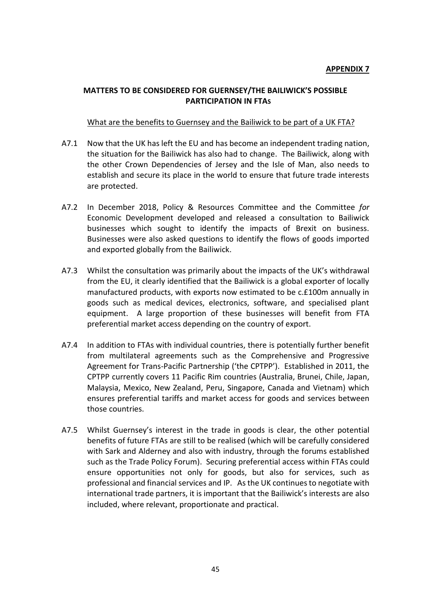## **MATTERS TO BE CONSIDERED FOR GUERNSEY/THE BAILIWICK'S POSSIBLE PARTICIPATION IN FTAS**

### What are the benefits to Guernsey and the Bailiwick to be part of a UK FTA?

- A7.1 Now that the UK has left the EU and has become an independent trading nation, the situation for the Bailiwick has also had to change. The Bailiwick, along with the other Crown Dependencies of Jersey and the Isle of Man, also needs to establish and secure its place in the world to ensure that future trade interests are protected.
- A7.2 In December 2018, Policy & Resources Committee and the Committee *for* Economic Development developed and released a consultation to Bailiwick businesses which sought to identify the impacts of Brexit on business. Businesses were also asked questions to identify the flows of goods imported and exported globally from the Bailiwick.
- A7.3 Whilst the consultation was primarily about the impacts of the UK's withdrawal from the EU, it clearly identified that the Bailiwick is a global exporter of locally manufactured products, with exports now estimated to be c.£100m annually in goods such as medical devices, electronics, software, and specialised plant equipment. A large proportion of these businesses will benefit from FTA preferential market access depending on the country of export.
- A7.4 In addition to FTAs with individual countries, there is potentially further benefit from multilateral agreements such as the Comprehensive and Progressive Agreement for Trans-Pacific Partnership ('the CPTPP'). Established in 2011, the CPTPP currently covers 11 Pacific Rim countries (Australia, Brunei, Chile, Japan, Malaysia, Mexico, New Zealand, Peru, Singapore, Canada and Vietnam) which ensures preferential tariffs and market access for goods and services between those countries.
- A7.5 Whilst Guernsey's interest in the trade in goods is clear, the other potential benefits of future FTAs are still to be realised (which will be carefully considered with Sark and Alderney and also with industry, through the forums established such as the Trade Policy Forum). Securing preferential access within FTAs could ensure opportunities not only for goods, but also for services, such as professional and financial services and IP. As the UK continues to negotiate with international trade partners, it is important that the Bailiwick's interests are also included, where relevant, proportionate and practical.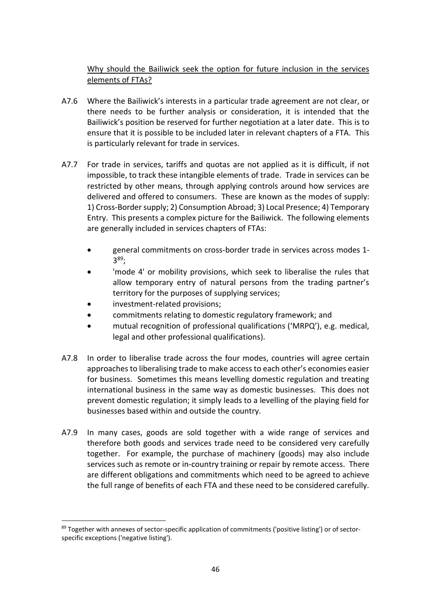# Why should the Bailiwick seek the option for future inclusion in the services elements of FTAs?

- A7.6 Where the Bailiwick's interests in a particular trade agreement are not clear, or there needs to be further analysis or consideration, it is intended that the Bailiwick's position be reserved for further negotiation at a later date. This is to ensure that it is possible to be included later in relevant chapters of a FTA. This is particularly relevant for trade in services.
- A7.7 For trade in services, tariffs and quotas are not applied as it is difficult, if not impossible, to track these intangible elements of trade. Trade in services can be restricted by other means, through applying controls around how services are delivered and offered to consumers. These are known as the modes of supply: 1) Cross-Border supply; 2) Consumption Abroad; 3) Local Presence; 4) Temporary Entry. This presents a complex picture for the Bailiwick. The following elements are generally included in services chapters of FTAs:
	- general commitments on cross-border trade in services across modes 1- 3 <sup>89</sup>;
	- 'mode 4' or mobility provisions, which seek to liberalise the rules that allow temporary entry of natural persons from the trading partner's territory for the purposes of supplying services;
	- investment-related provisions;
	- commitments relating to domestic regulatory framework; and
	- mutual recognition of professional qualifications ('MRPQ'), e.g. medical, legal and other professional qualifications).
- A7.8 In order to liberalise trade across the four modes, countries will agree certain approaches to liberalising trade to make access to each other's economies easier for business. Sometimes this means levelling domestic regulation and treating international business in the same way as domestic businesses. This does not prevent domestic regulation; it simply leads to a levelling of the playing field for businesses based within and outside the country.
- A7.9 In many cases, goods are sold together with a wide range of services and therefore both goods and services trade need to be considered very carefully together. For example, the purchase of machinery (goods) may also include services such as remote or in-country training or repair by remote access. There are different obligations and commitments which need to be agreed to achieve the full range of benefits of each FTA and these need to be considered carefully.

<sup>&</sup>lt;sup>89</sup> Together with annexes of sector-specific application of commitments ('positive listing') or of sectorspecific exceptions ('negative listing').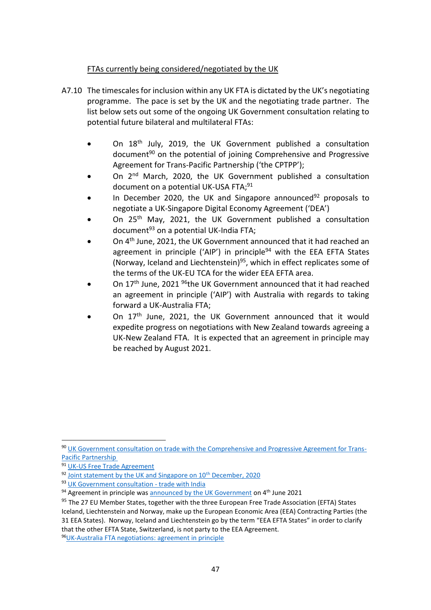## FTAs currently being considered/negotiated by the UK

- A7.10 The timescales for inclusion within any UK FTA is dictated by the UK's negotiating programme. The pace is set by the UK and the negotiating trade partner. The list below sets out some of the ongoing UK Government consultation relating to potential future bilateral and multilateral FTAs:
	- On 18th July, 2019, the UK Government published a consultation document<sup>90</sup> on the potential of joining Comprehensive and Progressive Agreement for Trans-Pacific Partnership ('the CPTPP');
	- On 2<sup>nd</sup> March, 2020, the UK Government published a consultation document on a potential UK-USA FTA;<sup>91</sup>
	- In December 2020, the UK and Singapore announced $92$  proposals to negotiate a UK-Singapore Digital Economy Agreement ('DEA')
	- On 25<sup>th</sup> May, 2021, the UK Government published a consultation document $93$  on a potential UK-India FTA;
	- On 4<sup>th</sup> June. 2021, the UK Government announced that it had reached an agreement in principle ('AIP') in principle<sup>94</sup> with the EEA EFTA States (Norway, Iceland and Liechtenstein)<sup>95</sup>, which in effect replicates some of the terms of the UK-EU TCA for the wider EEA EFTA area.
	- On 17<sup>th</sup> June, 2021 <sup>96</sup>the UK Government announced that it had reached an agreement in principle ('AIP') with Australia with regards to taking forward a UK-Australia FTA;
	- On 17<sup>th</sup> June, 2021, the UK Government announced that it would expedite progress on negotiations with New Zealand towards agreeing a UK-New Zealand FTA. It is expected that an agreement in principle may be reached by August 2021.

<sup>90</sup> [UK Government consultation on trade with the Comprehensive and Progressive Agreement for Trans-](https://www.gov.uk/government/consultations/trade-with-thecomprehensive-and-progressive-agreement-for-trans-pacific-partnershipcptpp)[Pacific Partnership](https://www.gov.uk/government/consultations/trade-with-thecomprehensive-and-progressive-agreement-for-trans-pacific-partnershipcptpp)

<sup>&</sup>lt;sup>91</sup> [UK-US Free Trade Agreement](https://assets.publishing.service.gov.uk/government/uploads/system/uploads/attachment_data/file/869592/UK_US_FTA_negotiations.pdf)

 $92$  Joint statement by the UK and Singapore on  $10<sup>th</sup>$  December, 2020

<sup>93</sup> [UK Government consultation -](https://www.gov.uk/government/consultations/trade-with-india-call-for-input) trade with India

<sup>94</sup> Agreement in principle was [announced by the UK Government](https://www.gov.uk/government/news/uk-secures-new-deal-with-norway-iceland-and-liechtenstein) on 4<sup>th</sup> June 2021

<sup>&</sup>lt;sup>95</sup> The 27 EU Member States, together with the three European Free Trade Association (EFTA) States Iceland, Liechtenstein and Norway, make up the European Economic Area (EEA) Contracting Parties (the 31 EEA States). Norway, Iceland and Liechtenstein go by the term "EEA EFTA States" in order to clarify that the other EFTA State, Switzerland, is not party to the EEA Agreement.

<sup>96</sup>[UK-Australia FTA negotiations: agreement in principle](https://www.gov.uk/government/publications/uk-australia-free-trade-agreement-negotiations-agreement-in-principle/uk-australia-fta-negotiations-agreement-in-principle)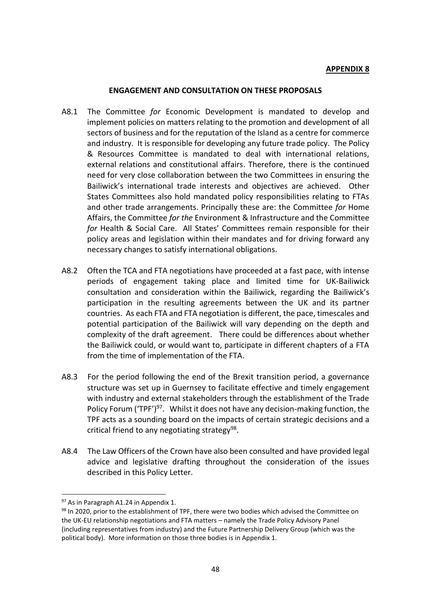#### **APPENDIX 8**

#### **ENGAGEMENT AND CONSULTATION ON THESE PROPOSALS**

- A8.1 The Committee *for* Economic Development is mandated to develop and implement policies on matters relating to the promotion and development of all sectors of business and for the reputation of the Island as a centre for commerce and industry. It is responsible for developing any future trade policy. The Policy & Resources Committee is mandated to deal with international relations, external relations and constitutional affairs. Therefore, there is the continued need for very close collaboration between the two Committees in ensuring the Bailiwick's international trade interests and objectives are achieved. Other States Committees also hold mandated policy responsibilities relating to FTAs and other trade arrangements. Principally these are: the Committee *for* Home Affairs, the Committee *for the* Environment & Infrastructure and the Committee *for* Health & Social Care. All States' Committees remain responsible for their policy areas and legislation within their mandates and for driving forward any necessary changes to satisfy international obligations.
- A8.2 Often the TCA and FTA negotiations have proceeded at a fast pace, with intense periods of engagement taking place and limited time for UK-Bailiwick consultation and consideration within the Bailiwick, regarding the Bailiwick's participation in the resulting agreements between the UK and its partner countries. As each FTA and FTA negotiation is different, the pace, timescales and potential participation of the Bailiwick will vary depending on the depth and complexity of the draft agreement. There could be differences about whether the Bailiwick could, or would want to, participate in different chapters of a FTA from the time of implementation of the FTA.
- A8.3 For the period following the end of the Brexit transition period, a governance structure was set up in Guernsey to facilitate effective and timely engagement with industry and external stakeholders through the establishment of the Trade Policy Forum ('TPF')<sup>97</sup>. Whilst it does not have any decision-making function, the TPF acts as a sounding board on the impacts of certain strategic decisions and a critical friend to any negotiating strategy<sup>98</sup>.
- A8.4 The Law Officers of the Crown have also been consulted and have provided legal advice and legislative drafting throughout the consideration of the issues described in this Policy Letter.

<sup>97</sup> As in Paragraph A1.24 in Appendix 1.

<sup>98</sup> In 2020, prior to the establishment of TPF, there were two bodies which advised the Committee on the UK-EU relationship negotiations and FTA matters – namely the Trade Policy Advisory Panel (including representatives from industry) and the Future Partnership Delivery Group (which was the political body). More information on those three bodies is in Appendix 1.